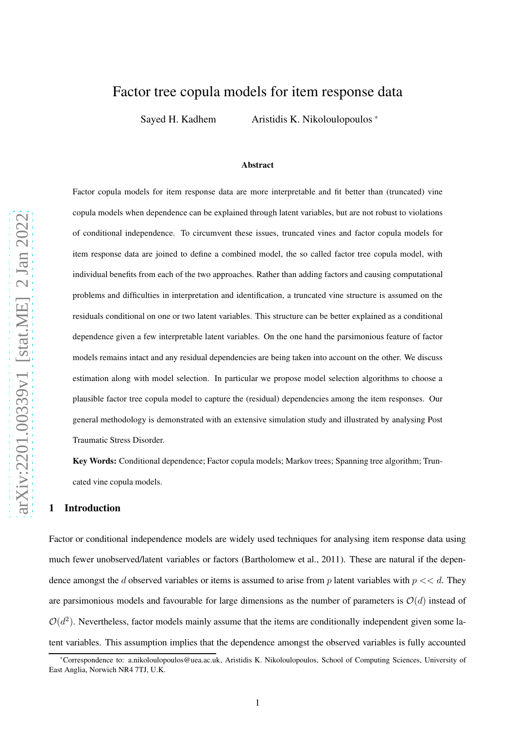# Factor tree copula models for item response data

Sayed H. Kadhem Aristidis K. Nikoloulopoulos \*

#### Abstract

Factor copula models for item response data are more interpretable and fit better than (truncated) vine copula models when dependence can be explained through latent variables, but are not robust to violations of conditional independence. To circumvent these issues, truncated vines and factor copula models for item response data are joined to define a combined model, the so called factor tree copula model, with individual benefits from each of the two approaches. Rather than adding factors and causing computational problems and difficulties in interpretation and identification, a truncated vine structure is assumed on the residuals conditional on one or two latent variables. This structure can be better explained as a conditional dependence given a few interpretable latent variables. On the one hand the parsimonious feature of factor models remains intact and any residual dependencies are being taken into account on the other. We discuss estimation along with model selection. In particular we propose model selection algorithms to choose a plausible factor tree copula model to capture the (residual) dependencies among the item responses. Our general methodology is demonstrated with an extensive simulation study and illustrated by analysing Post Traumatic Stress Disorder.

Key Words: Conditional dependence; Factor copula models; Markov trees; Spanning tree algorithm; Truncated vine copula models.

## 1 Introduction

Factor or conditional independence models are widely used techniques for analysing item response data using much fewer unobserved/latent variables or factors [\(Bartholomew et al., 2011](#page-23-0)). These are natural if the dependence amongst the d observed variables or items is assumed to arise from p latent variables with  $p \ll d$ . They are parsimonious models and favourable for large dimensions as the number of parameters is  $O(d)$  instead of  $\mathcal{O}(d^2)$ . Nevertheless, factor models mainly assume that the items are conditionally independent given some latent variables. This assumption implies that the dependence amongst the observed variables is fully accounted

<sup>\*</sup>Correspondence to: [a.nikoloulopoulos@uea.ac.uk,](mailto:a.nikoloulopoulos@uea.ac.uk) Aristidis K. Nikoloulopoulos, School of Computing Sciences, University of East Anglia, Norwich NR4 7TJ, U.K.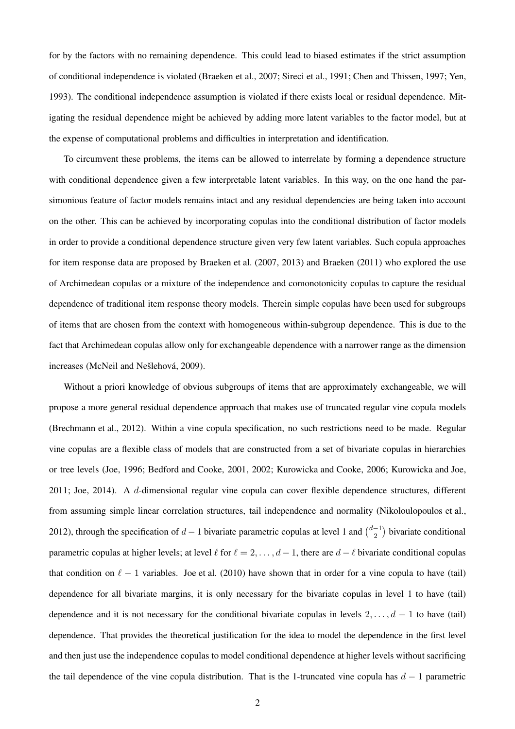for by the factors with no remaining dependence. This could lead to biased estimates if the strict assumption of conditional independence is violated [\(Braeken et al., 2007](#page-23-1); [Sireci et al.](#page-25-0), [1991](#page-25-0); [Chen and Thissen](#page-23-2), [1997](#page-23-2); [Yen,](#page-25-1) [1993](#page-25-1)). The conditional independence assumption is violated if there exists local or residual dependence. Mitigating the residual dependence might be achieved by adding more latent variables to the factor model, but at the expense of computational problems and difficulties in interpretation and identification.

To circumvent these problems, the items can be allowed to interrelate by forming a dependence structure with conditional dependence given a few interpretable latent variables. In this way, on the one hand the parsimonious feature of factor models remains intact and any residual dependencies are being taken into account on the other. This can be achieved by incorporating copulas into the conditional distribution of factor models in order to provide a conditional dependence structure given very few latent variables. Such copula approaches for item response data are proposed by [Braeken et al. \(2007,](#page-23-1) [2013](#page-23-3)) and [Braeken \(2011\)](#page-23-4) who explored the use of Archimedean copulas or a mixture of the independence and comonotonicity copulas to capture the residual dependence of traditional item response theory models. Therein simple copulas have been used for subgroups of items that are chosen from the context with homogeneous within-subgroup dependence. This is due to the fact that Archimedean copulas allow only for exchangeable dependence with a narrower range as the dimension increases (McNeil and Nešlehová, [2009\)](#page-24-0).

Without a priori knowledge of obvious subgroups of items that are approximately exchangeable, we will propose a more general residual dependence approach that makes use of truncated regular vine copula models [\(Brechmann et al., 2012](#page-23-5)). Within a vine copula specification, no such restrictions need to be made. Regular vine copulas are a flexible class of models that are constructed from a set of bivariate copulas in hierarchies or tree levels [\(Joe](#page-23-6), [1996](#page-23-6); [Bedford and Cooke](#page-23-7), [2001,](#page-23-7) [2002;](#page-23-8) [Kurowicka and Cooke](#page-24-1), [2006](#page-24-1); [Kurowicka and Joe,](#page-24-2) [2011](#page-24-2); [Joe](#page-24-3), [2014\)](#page-24-3). A d-dimensional regular vine copula can cover flexible dependence structures, different from assuming simple linear correlation structures, tail independence and normality [\(Nikoloulopoulos et al.,](#page-25-2) [2012](#page-25-2)), through the specification of  $d-1$  bivariate parametric copulas at level 1 and  $\binom{d-1}{2}$  bivariate conditional parametric copulas at higher levels; at level  $\ell$  for  $\ell = 2, \ldots, d - 1$ , there are  $d - \ell$  bivariate conditional copulas that condition on  $\ell - 1$  variables. [Joe et al. \(2010\)](#page-24-4) have shown that in order for a vine copula to have (tail) dependence for all bivariate margins, it is only necessary for the bivariate copulas in level 1 to have (tail) dependence and it is not necessary for the conditional bivariate copulas in levels  $2, \ldots, d - 1$  to have (tail) dependence. That provides the theoretical justification for the idea to model the dependence in the first level and then just use the independence copulas to model conditional dependence at higher levels without sacrificing the tail dependence of the vine copula distribution. That is the 1-truncated vine copula has  $d - 1$  parametric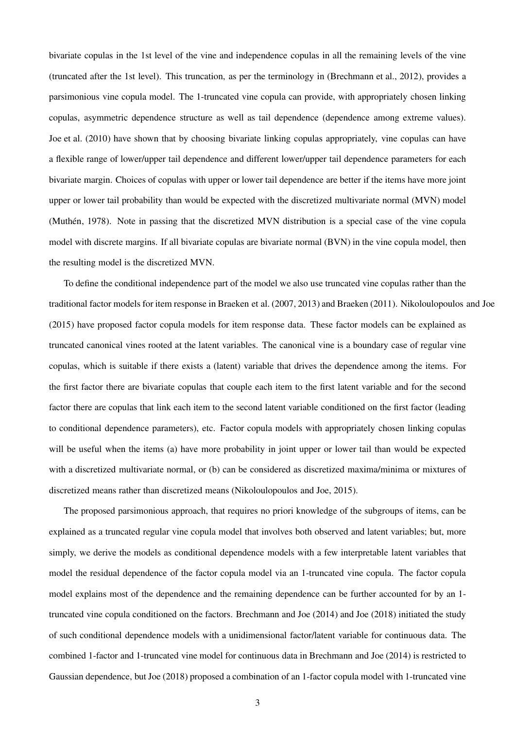bivariate copulas in the 1st level of the vine and independence copulas in all the remaining levels of the vine (truncated after the 1st level). This truncation, as per the terminology in [\(Brechmann et al., 2012](#page-23-5)), provides a parsimonious vine copula model. The 1-truncated vine copula can provide, with appropriately chosen linking copulas, asymmetric dependence structure as well as tail dependence (dependence among extreme values). [Joe et al. \(2010](#page-24-4)) have shown that by choosing bivariate linking copulas appropriately, vine copulas can have a flexible range of lower/upper tail dependence and different lower/upper tail dependence parameters for each bivariate margin. Choices of copulas with upper or lower tail dependence are better if the items have more joint upper or lower tail probability than would be expected with the discretized multivariate normal (MVN) model (Muthén, [1978](#page-24-5)). Note in passing that the discretized MVN distribution is a special case of the vine copula model with discrete margins. If all bivariate copulas are bivariate normal (BVN) in the vine copula model, then the resulting model is the discretized MVN.

To define the conditional independence part of the model we also use truncated vine copulas rather than the traditional factor models for item response in [Braeken et al.](#page-23-1) [\(2007](#page-23-1), [2013\)](#page-23-3) and [Braeken \(2011](#page-23-4)). [Nikoloulopoulos and Joe](#page-25-3) [\(2015](#page-25-3)) have proposed factor copula models for item response data. These factor models can be explained as truncated canonical vines rooted at the latent variables. The canonical vine is a boundary case of regular vine copulas, which is suitable if there exists a (latent) variable that drives the dependence among the items. For the first factor there are bivariate copulas that couple each item to the first latent variable and for the second factor there are copulas that link each item to the second latent variable conditioned on the first factor (leading to conditional dependence parameters), etc. Factor copula models with appropriately chosen linking copulas will be useful when the items (a) have more probability in joint upper or lower tail than would be expected with a discretized multivariate normal, or (b) can be considered as discretized maxima/minima or mixtures of discretized means rather than discretized means [\(Nikoloulopoulos and Joe](#page-25-3), [2015](#page-25-3)).

The proposed parsimonious approach, that requires no priori knowledge of the subgroups of items, can be explained as a truncated regular vine copula model that involves both observed and latent variables; but, more simply, we derive the models as conditional dependence models with a few interpretable latent variables that model the residual dependence of the factor copula model via an 1-truncated vine copula. The factor copula model explains most of the dependence and the remaining dependence can be further accounted for by an 1 truncated vine copula conditioned on the factors. [Brechmann and Joe \(2014\)](#page-23-9) and [Joe \(2018](#page-24-6)) initiated the study of such conditional dependence models with a unidimensional factor/latent variable for continuous data. The combined 1-factor and 1-truncated vine model for continuous data in [Brechmann and Joe \(2014](#page-23-9)) is restricted to Gaussian dependence, but [Joe](#page-24-6) [\(2018](#page-24-6)) proposed a combination of an 1-factor copula model with 1-truncated vine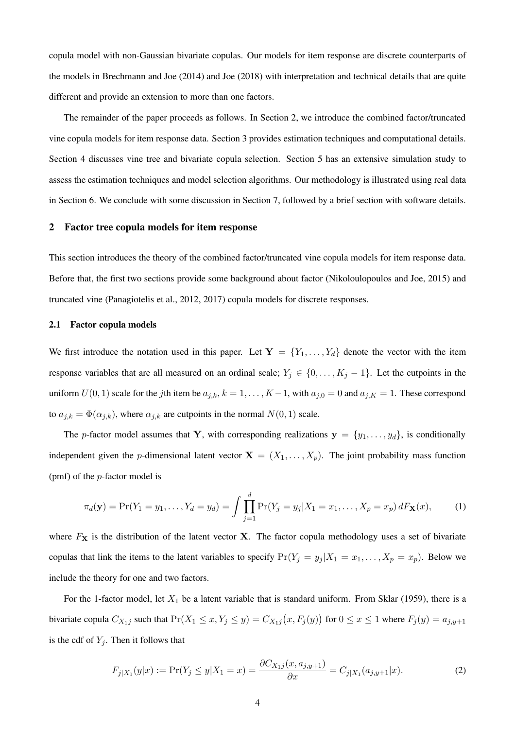copula model with non-Gaussian bivariate copulas. Our models for item response are discrete counterparts of the models in [Brechmann and Joe \(2014](#page-23-9)) and [Joe \(2018\)](#page-24-6) with interpretation and technical details that are quite different and provide an extension to more than one factors.

The remainder of the paper proceeds as follows. In Section [2,](#page-3-0) we introduce the combined factor/truncated vine copula models for item response data. Section [3](#page-9-0) provides estimation techniques and computational details. Section [4](#page-11-0) discusses vine tree and bivariate copula selection. Section [5](#page-13-0) has an extensive simulation study to assess the estimation techniques and model selection algorithms. Our methodology is illustrated using real data in Section [6.](#page-17-0) We conclude with some discussion in Section [7,](#page-21-0) followed by a brief section with software details.

#### <span id="page-3-0"></span>2 Factor tree copula models for item response

This section introduces the theory of the combined factor/truncated vine copula models for item response data. Before that, the first two sections provide some background about factor [\(Nikoloulopoulos and Joe, 2015](#page-25-3)) and truncated vine [\(Panagiotelis et al.](#page-25-4), [2012](#page-25-4), [2017\)](#page-25-5) copula models for discrete responses.

#### 2.1 Factor copula models

We first introduce the notation used in this paper. Let  $Y = \{Y_1, \ldots, Y_d\}$  denote the vector with the item response variables that are all measured on an ordinal scale;  $Y_j \in \{0, \ldots, K_j - 1\}$ . Let the cutpoints in the uniform  $U(0, 1)$  scale for the jth item be  $a_{j,k}$ ,  $k = 1, ..., K-1$ , with  $a_{j,0} = 0$  and  $a_{j,K} = 1$ . These correspond to  $a_{j,k} = \Phi(\alpha_{j,k})$ , where  $\alpha_{j,k}$  are cutpoints in the normal  $N(0, 1)$  scale.

The p-factor model assumes that Y, with corresponding realizations  $y = \{y_1, \ldots, y_d\}$ , is conditionally independent given the p-dimensional latent vector  $X = (X_1, \ldots, X_p)$ . The joint probability mass function (pmf) of the p-factor model is

<span id="page-3-2"></span>
$$
\pi_d(\mathbf{y}) = \Pr(Y_1 = y_1, \dots, Y_d = y_d) = \int \prod_{j=1}^d \Pr(Y_j = y_j | X_1 = x_1, \dots, X_p = x_p) dF_{\mathbf{X}}(x), \tag{1}
$$

where  $F<sub>X</sub>$  is the distribution of the latent vector X. The factor copula methodology uses a set of bivariate copulas that link the items to the latent variables to specify  $Pr(Y_j = y_j | X_1 = x_1, \ldots, X_p = x_p)$ . Below we include the theory for one and two factors.

For the 1-factor model, let  $X_1$  be a latent variable that is standard uniform. From [Sklar](#page-25-6) [\(1959](#page-25-6)), there is a bivariate copula  $C_{X_1j}$  such that  $Pr(X_1 \le x, Y_j \le y) = C_{X_1j}(x, F_j(y))$  for  $0 \le x \le 1$  where  $F_j(y) = a_{j,y+1}$ is the cdf of  $Y_i$ . Then it follows that

<span id="page-3-1"></span>
$$
F_{j|X_1}(y|x) := \Pr(Y_j \le y | X_1 = x) = \frac{\partial C_{X_1j}(x, a_{j,y+1})}{\partial x} = C_{j|X_1}(a_{j,y+1}|x). \tag{2}
$$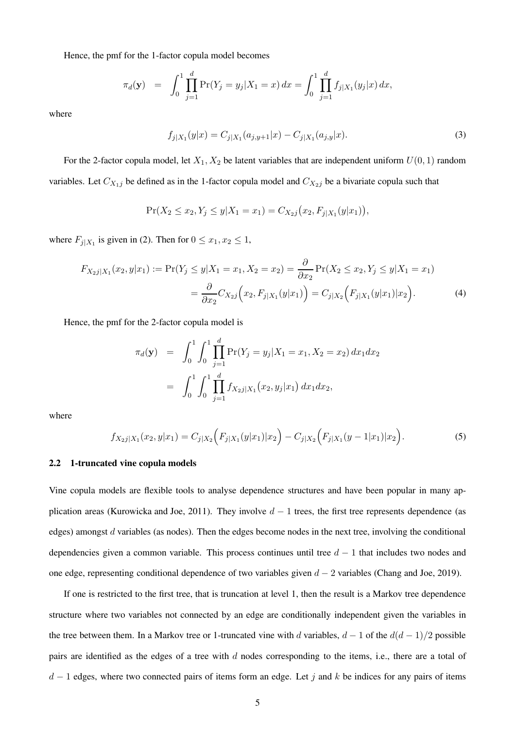Hence, the pmf for the 1-factor copula model becomes

$$
\pi_d(\mathbf{y}) = \int_0^1 \prod_{j=1}^d \Pr(Y_j = y_j | X_1 = x) dx = \int_0^1 \prod_{j=1}^d f_{j|X_1}(y_j | x) dx,
$$

where

<span id="page-4-0"></span>
$$
f_{j|X_1}(y|x) = C_{j|X_1}(a_{j,y+1}|x) - C_{j|X_1}(a_{j,y}|x).
$$
\n(3)

For the 2-factor copula model, let  $X_1, X_2$  be latent variables that are independent uniform  $U(0, 1)$  random variables. Let  $C_{X_1j}$  be defined as in the 1-factor copula model and  $C_{X_2j}$  be a bivariate copula such that

<span id="page-4-1"></span>
$$
\Pr(X_2 \le x_2, Y_j \le y | X_1 = x_1) = C_{X_2 j}(x_2, F_{j | X_1}(y | x_1)),
$$

where  $F_{j|X_1}$  is given in [\(2\)](#page-3-1). Then for  $0 \le x_1, x_2 \le 1$ ,

$$
F_{X_2j|X_1}(x_2, y|x_1) := \Pr(Y_j \le y | X_1 = x_1, X_2 = x_2) = \frac{\partial}{\partial x_2} \Pr(X_2 \le x_2, Y_j \le y | X_1 = x_1)
$$
  
= 
$$
\frac{\partial}{\partial x_2} C_{X_2j} (x_2, F_{j|X_1}(y|x_1)) = C_{j|X_2} (F_{j|X_1}(y|x_1)|x_2).
$$
 (4)

Hence, the pmf for the 2-factor copula model is

$$
\pi_d(\mathbf{y}) = \int_0^1 \int_0^1 \prod_{j=1}^d \Pr(Y_j = y_j | X_1 = x_1, X_2 = x_2) dx_1 dx_2
$$

$$
= \int_0^1 \int_0^1 \prod_{j=1}^d f_{X_2j|X_1}(x_2, y_j|x_1) dx_1 dx_2,
$$

where

<span id="page-4-2"></span>
$$
f_{X_2j|X_1}(x_2,y|x_1) = C_{j|X_2}\Big(F_{j|X_1}(y|x_1)|x_2\Big) - C_{j|X_2}\Big(F_{j|X_1}(y-1|x_1)|x_2\Big). \tag{5}
$$

#### 2.2 1-truncated vine copula models

Vine copula models are flexible tools to analyse dependence structures and have been popular in many ap-plication areas [\(Kurowicka and Joe](#page-24-2), [2011](#page-24-2)). They involve  $d-1$  trees, the first tree represents dependence (as edges) amongst d variables (as nodes). Then the edges become nodes in the next tree, involving the conditional dependencies given a common variable. This process continues until tree  $d - 1$  that includes two nodes and one edge, representing conditional dependence of two variables given  $d - 2$  variables [\(Chang and Joe, 2019](#page-23-10)).

If one is restricted to the first tree, that is truncation at level 1, then the result is a Markov tree dependence structure where two variables not connected by an edge are conditionally independent given the variables in the tree between them. In a Markov tree or 1-truncated vine with d variables,  $d - 1$  of the  $d(d - 1)/2$  possible pairs are identified as the edges of a tree with d nodes corresponding to the items, i.e., there are a total of  $d-1$  edges, where two connected pairs of items form an edge. Let j and k be indices for any pairs of items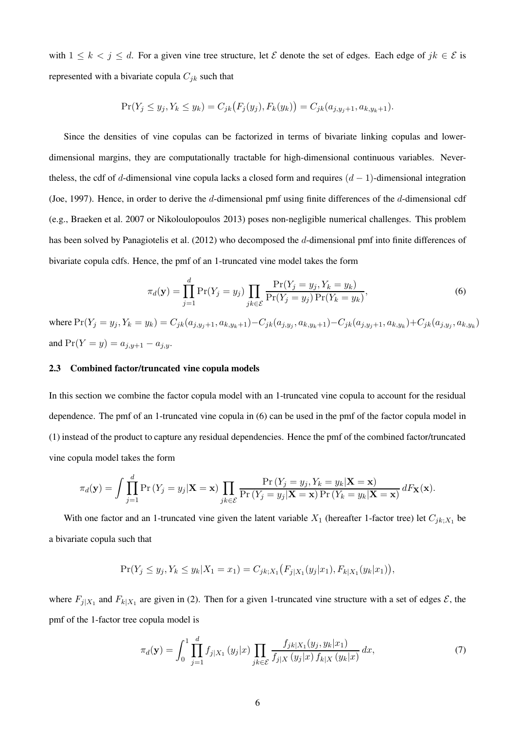with  $1 \leq k < j \leq d$ . For a given vine tree structure, let  $\mathcal E$  denote the set of edges. Each edge of  $jk \in \mathcal E$  is represented with a bivariate copula  $C_{jk}$  such that

$$
Pr(Y_j \le y_j, Y_k \le y_k) = C_{jk}(F_j(y_j), F_k(y_k)) = C_{jk}(a_{j,y_j+1}, a_{k,y_k+1}).
$$

Since the densities of vine copulas can be factorized in terms of bivariate linking copulas and lowerdimensional margins, they are computationally tractable for high-dimensional continuous variables. Nevertheless, the cdf of d-dimensional vine copula lacks a closed form and requires  $(d - 1)$ -dimensional integration [\(Joe, 1997](#page-23-11)). Hence, in order to derive the d-dimensional pmf using finite differences of the d-dimensional cdf (e.g., [Braeken et al. 2007](#page-23-1) or [Nikoloulopoulos 2013\)](#page-25-7) poses non-negligible numerical challenges. This problem has been solved by [Panagiotelis et al. \(2012](#page-25-4)) who decomposed the d-dimensional pmf into finite differences of bivariate copula cdfs. Hence, the pmf of an 1-truncated vine model takes the form

<span id="page-5-0"></span>
$$
\pi_d(\mathbf{y}) = \prod_{j=1}^d \Pr(Y_j = y_j) \prod_{jk \in \mathcal{E}} \frac{\Pr(Y_j = y_j, Y_k = y_k)}{\Pr(Y_j = y_j) \Pr(Y_k = y_k)},\tag{6}
$$

where  $Pr(Y_j = y_j, Y_k = y_k) = C_{jk}(a_{j,y_j+1}, a_{k,y_k+1}) - C_{jk}(a_{j,y_j}, a_{k,y_k+1}) - C_{jk}(a_{j,y_j+1}, a_{k,y_k}) + C_{jk}(a_{j,y_j}, a_{k,y_k})$ and  $Pr(Y = y) = a_{j,y+1} - a_{j,y}$ .

#### 2.3 Combined factor/truncated vine copula models

In this section we combine the factor copula model with an 1-truncated vine copula to account for the residual dependence. The pmf of an 1-truncated vine copula in [\(6\)](#page-5-0) can be used in the pmf of the factor copula model in [\(1\)](#page-3-2) instead of the product to capture any residual dependencies. Hence the pmf of the combined factor/truncated vine copula model takes the form

$$
\pi_d(\mathbf{y}) = \int \prod_{j=1}^d \Pr\left(Y_j = y_j | \mathbf{X} = \mathbf{x}\right) \prod_{jk \in \mathcal{E}} \frac{\Pr\left(Y_j = y_j, Y_k = y_k | \mathbf{X} = \mathbf{x}\right)}{\Pr\left(Y_j = y_j | \mathbf{X} = \mathbf{x}\right) \Pr\left(Y_k = y_k | \mathbf{X} = \mathbf{x}\right)} dF_{\mathbf{X}}(\mathbf{x}).
$$

With one factor and an 1-truncated vine given the latent variable  $X_1$  (hereafter 1-factor tree) let  $C_{jk;X_1}$  be a bivariate copula such that

$$
Pr(Y_j \le y_j, Y_k \le y_k | X_1 = x_1) = C_{jk;X_1}(F_{j|X_1}(y_j|x_1), F_{k|X_1}(y_k|x_1)),
$$

where  $F_{j|X_1}$  and  $F_{k|X_1}$  are given in [\(2\)](#page-3-1). Then for a given 1-truncated vine structure with a set of edges  $\mathcal{E}$ , the pmf of the 1-factor tree copula model is

<span id="page-5-1"></span>
$$
\pi_d(\mathbf{y}) = \int_0^1 \prod_{j=1}^d f_{j|X_1}(y_j|x) \prod_{jk \in \mathcal{E}} \frac{f_{jk|X_1}(y_j, y_k|x_1)}{f_{j|X}(y_j|x) f_{k|X}(y_k|x)} dx, \tag{7}
$$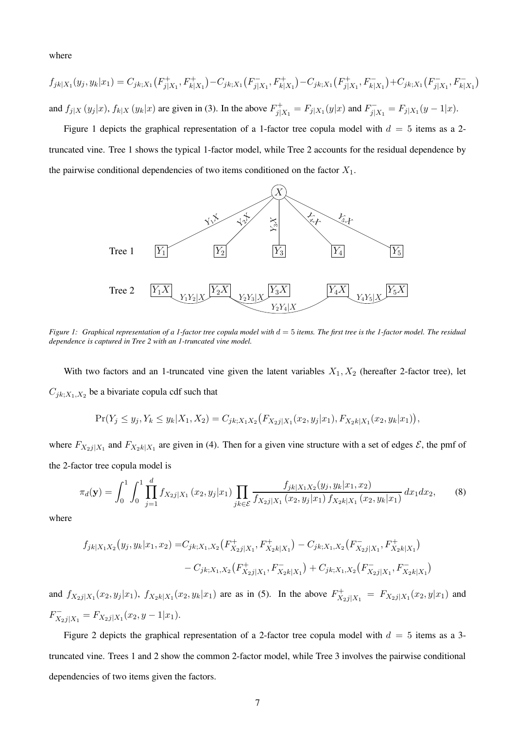where

$$
f_{jk|X_1}(y_j, y_k|x_1) = C_{jk;X_1}(F_{j|X_1}^+, F_{k|X_1}^+) - C_{jk;X_1}(F_{j|X_1}^-, F_{k|X_1}^+) - C_{jk;X_1}(F_{j|X_1}^+, F_{k|X_1}^-) + C_{jk;X_1}(F_{j|X_1}^-, F_{k|X_1}^-)
$$
  
and  $f_{j|X}(y_j|x)$ ,  $f_{k|X}(y_k|x)$  are given in (3). In the above  $F_{j|X_1}^+ = F_{j|X_1}(y|x)$  and  $F_{j|X_1}^- = F_{j|X_1}(y-1|x)$ .

<span id="page-6-0"></span>Figure [1](#page-6-0) depicts the graphical representation of a 1-factor tree copula model with  $d = 5$  items as a 2truncated vine. Tree 1 shows the typical 1-factor model, while Tree 2 accounts for the residual dependence by the pairwise conditional dependencies of two items conditioned on the factor  $X_1$ .



*Figure 1: Graphical representation of a 1-factor tree copula model with*  $d = 5$  *items. The first tree is the 1-factor model. The residual dependence is captured in Tree 2 with an 1-truncated vine model.*

With two factors and an 1-truncated vine given the latent variables  $X_1, X_2$  (hereafter 2-factor tree), let  $C_{jk;X_1,X_2}$  be a bivariate copula cdf such that

$$
Pr(Y_j \le y_j, Y_k \le y_k | X_1, X_2) = C_{jk;X_1X_2} (F_{X_2j|X_1}(x_2, y_j|x_1), F_{X_2k|X_1}(x_2, y_k|x_1)),
$$

where  $F_{X_2j|X_1}$  and  $F_{X_2k|X_1}$  are given in [\(4\)](#page-4-1). Then for a given vine structure with a set of edges  $\mathcal{E}$ , the pmf of the 2-factor tree copula model is

<span id="page-6-1"></span>
$$
\pi_d(\mathbf{y}) = \int_0^1 \int_0^1 \prod_{j=1}^d f_{X_2j|X_1}(x_2, y_j|x_1) \prod_{jk \in \mathcal{E}} \frac{f_{jk|X_1X_2}(y_j, y_k|x_1, x_2)}{f_{X_2j|X_1}(x_2, y_j|x_1) f_{X_2k|X_1}(x_2, y_k|x_1)} dx_1 dx_2, \tag{8}
$$

where

$$
f_{jk|X_1X_2}(y_j, y_k|x_1, x_2) = C_{jk;X_1,X_2}(F_{X_2j|X_1}^+, F_{X_2k|X_1}^+) - C_{jk;X_1,X_2}(F_{X_2j|X_1}^-, F_{X_2k|X_1}^+)
$$
  

$$
- C_{jk;X_1,X_2}(F_{X_2j|X_1}^+, F_{X_2k|X_1}^-) + C_{jk;X_1,X_2}(F_{X_2j|X_1}^-, F_{X_2k|X_1}^-)
$$

and  $f_{X_2j|X_1}(x_2,y_j|x_1)$ ,  $f_{X_2k|X_1}(x_2,y_k|x_1)$  are as in [\(5\)](#page-4-2). In the above  $F_{X_2}^+$  $X_{2j|X_1}^+ = F_{X_2j|X_1}(x_2, y|x_1)$  and  $F_{X_2j|X_1}^- = F_{X_2j|X_1}(x_2, y-1|x_1).$ 

Figure [2](#page-7-0) depicts the graphical representation of a 2-factor tree copula model with  $d = 5$  items as a 3truncated vine. Trees 1 and 2 show the common 2-factor model, while Tree 3 involves the pairwise conditional dependencies of two items given the factors.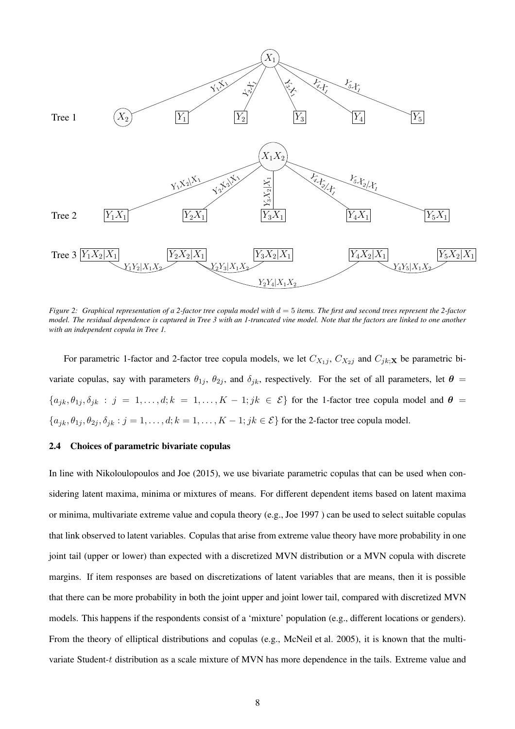<span id="page-7-0"></span>

*Figure 2:* Graphical representation of a 2-factor tree copula model with  $d = 5$  *items. The first and second trees represent the 2-factor model. The residual dependence is captured in Tree 3 with an 1-truncated vine model. Note that the factors are linked to one another with an independent copula in Tree 1.*

For parametric 1-factor and 2-factor tree copula models, we let  $C_{X_1j}$ ,  $C_{X_2j}$  and  $C_{jk;X}$  be parametric bivariate copulas, say with parameters  $\theta_{1j}$ ,  $\theta_{2j}$ , and  $\delta_{jk}$ , respectively. For the set of all parameters, let  $\theta$  =  ${a_{jk}, \theta_{1j}, \delta_{jk} : j = 1, \ldots, d; k = 1, \ldots, K - 1; jk \in \mathcal{E}}$  for the 1-factor tree copula model and  $\theta =$  ${a_{jk}, \theta_{1j}, \theta_{2j}, \delta_{jk} : j = 1, \dots, d; k = 1, \dots, K - 1; jk \in \mathcal{E}}$  for the 2-factor tree copula model.

#### 2.4 Choices of parametric bivariate copulas

In line with [Nikoloulopoulos and Joe](#page-25-3) [\(2015](#page-25-3)), we use bivariate parametric copulas that can be used when considering latent maxima, minima or mixtures of means. For different dependent items based on latent maxima or minima, multivariate extreme value and copula theory (e.g., [Joe 1997](#page-23-11) ) can be used to select suitable copulas that link observed to latent variables. Copulas that arise from extreme value theory have more probability in one joint tail (upper or lower) than expected with a discretized MVN distribution or a MVN copula with discrete margins. If item responses are based on discretizations of latent variables that are means, then it is possible that there can be more probability in both the joint upper and joint lower tail, compared with discretized MVN models. This happens if the respondents consist of a 'mixture' population (e.g., different locations or genders). From the theory of elliptical distributions and copulas (e.g., [McNeil et al. 2005](#page-24-7)), it is known that the multivariate Student-t distribution as a scale mixture of MVN has more dependence in the tails. Extreme value and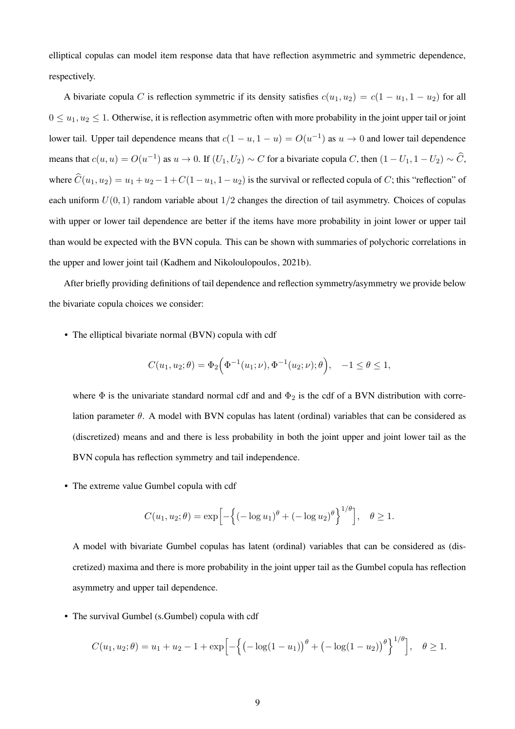elliptical copulas can model item response data that have reflection asymmetric and symmetric dependence, respectively.

A bivariate copula C is reflection symmetric if its density satisfies  $c(u_1, u_2) = c(1 - u_1, 1 - u_2)$  for all  $0 \leq u_1, u_2 \leq 1$ . Otherwise, it is reflection asymmetric often with more probability in the joint upper tail or joint lower tail. Upper tail dependence means that  $c(1 - u, 1 - u) = O(u^{-1})$  as  $u \to 0$  and lower tail dependence means that  $c(u, u) = O(u^{-1})$  as  $u \to 0$ . If  $(U_1, U_2) \sim C$  for a bivariate copula C, then  $(1 - U_1, 1 - U_2) \sim \widehat{C}$ , where  $\hat{C}(u_1, u_2) = u_1 + u_2 - 1 + C(1 - u_1, 1 - u_2)$  is the survival or reflected copula of C; this "reflection" of each uniform  $U(0, 1)$  random variable about  $1/2$  changes the direction of tail asymmetry. Choices of copulas with upper or lower tail dependence are better if the items have more probability in joint lower or upper tail than would be expected with the BVN copula. This can be shown with summaries of polychoric correlations in the upper and lower joint tail [\(Kadhem and Nikoloulopoulos](#page-24-8), [2021b](#page-24-8)).

After briefly providing definitions of tail dependence and reflection symmetry/asymmetry we provide below the bivariate copula choices we consider:

• The elliptical bivariate normal (BVN) copula with cdf

$$
C(u_1, u_2; \theta) = \Phi_2\Big(\Phi^{-1}(u_1; \nu), \Phi^{-1}(u_2; \nu); \theta\Big), \quad -1 \le \theta \le 1,
$$

where  $\Phi$  is the univariate standard normal cdf and and  $\Phi_2$  is the cdf of a BVN distribution with correlation parameter  $\theta$ . A model with BVN copulas has latent (ordinal) variables that can be considered as (discretized) means and and there is less probability in both the joint upper and joint lower tail as the BVN copula has reflection symmetry and tail independence.

• The extreme value Gumbel copula with cdf

$$
C(u_1, u_2; \theta) = \exp \left[ - \left\{ (-\log u_1)^{\theta} + (-\log u_2)^{\theta} \right\}^{1/\theta} \right], \quad \theta \ge 1.
$$

A model with bivariate Gumbel copulas has latent (ordinal) variables that can be considered as (discretized) maxima and there is more probability in the joint upper tail as the Gumbel copula has reflection asymmetry and upper tail dependence.

• The survival Gumbel (s.Gumbel) copula with cdf

$$
C(u_1, u_2; \theta) = u_1 + u_2 - 1 + \exp\left[-\left\{(-\log(1 - u_1))^\theta + (-\log(1 - u_2))^\theta\right\}^{1/\theta}\right], \quad \theta \ge 1.
$$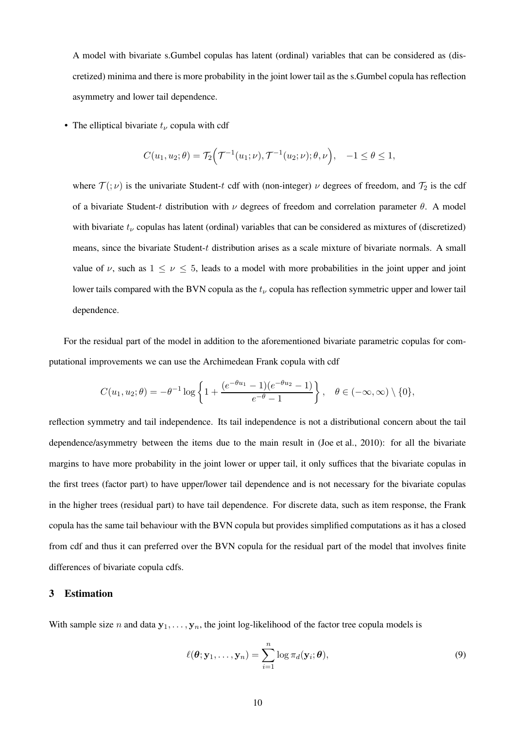A model with bivariate s.Gumbel copulas has latent (ordinal) variables that can be considered as (discretized) minima and there is more probability in the joint lower tail as the s.Gumbel copula has reflection asymmetry and lower tail dependence.

• The elliptical bivariate  $t_{\nu}$  copula with cdf

$$
C(u_1, u_2; \theta) = \mathcal{T}_2\Big(\mathcal{T}^{-1}(u_1; \nu), \mathcal{T}^{-1}(u_2; \nu); \theta, \nu\Big), \quad -1 \le \theta \le 1,
$$

where  $\mathcal{T}(\cdot;\nu)$  is the univariate Student-t cdf with (non-integer)  $\nu$  degrees of freedom, and  $\mathcal{T}_2$  is the cdf of a bivariate Student-t distribution with  $\nu$  degrees of freedom and correlation parameter  $\theta$ . A model with bivariate  $t_{\nu}$  copulas has latent (ordinal) variables that can be considered as mixtures of (discretized) means, since the bivariate Student- $t$  distribution arises as a scale mixture of bivariate normals. A small value of  $\nu$ , such as  $1 \leq \nu \leq 5$ , leads to a model with more probabilities in the joint upper and joint lower tails compared with the BVN copula as the  $t<sub>\nu</sub>$  copula has reflection symmetric upper and lower tail dependence.

For the residual part of the model in addition to the aforementioned bivariate parametric copulas for computational improvements we can use the Archimedean Frank copula with cdf

$$
C(u_1, u_2; \theta) = -\theta^{-1} \log \left\{ 1 + \frac{(e^{-\theta u_1} - 1)(e^{-\theta u_2} - 1)}{e^{-\theta} - 1} \right\}, \quad \theta \in (-\infty, \infty) \setminus \{0\},\
$$

reflection symmetry and tail independence. Its tail independence is not a distributional concern about the tail dependence/asymmetry between the items due to the main result in [\(Joe et al.](#page-24-4), [2010](#page-24-4)): for all the bivariate margins to have more probability in the joint lower or upper tail, it only suffices that the bivariate copulas in the first trees (factor part) to have upper/lower tail dependence and is not necessary for the bivariate copulas in the higher trees (residual part) to have tail dependence. For discrete data, such as item response, the Frank copula has the same tail behaviour with the BVN copula but provides simplified computations as it has a closed from cdf and thus it can preferred over the BVN copula for the residual part of the model that involves finite differences of bivariate copula cdfs.

## <span id="page-9-0"></span>3 Estimation

With sample size n and data  $y_1, \ldots, y_n$ , the joint log-likelihood of the factor tree copula models is

<span id="page-9-1"></span>
$$
\ell(\boldsymbol{\theta}; \mathbf{y}_1, \dots, \mathbf{y}_n) = \sum_{i=1}^n \log \pi_d(\mathbf{y}_i; \boldsymbol{\theta}),
$$
\n(9)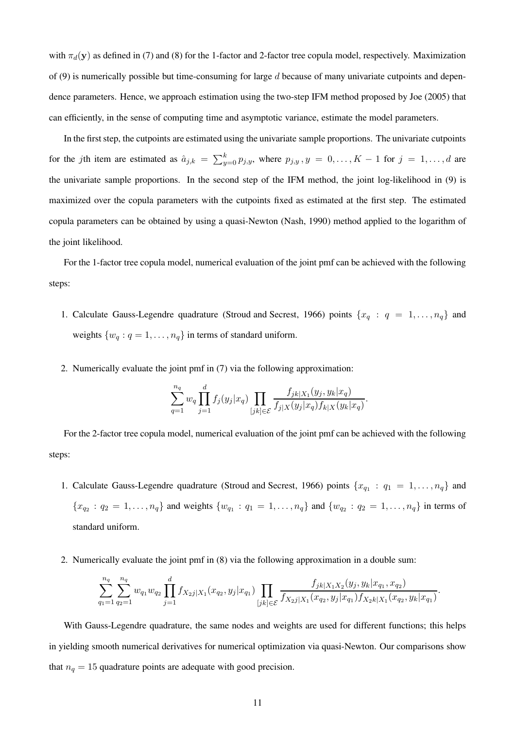with  $\pi_d(y)$  as defined in [\(7\)](#page-5-1) and [\(8\)](#page-6-1) for the 1-factor and 2-factor tree copula model, respectively. Maximization of [\(9\)](#page-9-1) is numerically possible but time-consuming for large  $d$  because of many univariate cutpoints and dependence parameters. Hence, we approach estimation using the two-step IFM method proposed by [Joe \(2005\)](#page-24-9) that can efficiently, in the sense of computing time and asymptotic variance, estimate the model parameters.

In the first step, the cutpoints are estimated using the univariate sample proportions. The univariate cutpoints for the jth item are estimated as  $\hat{a}_{j,k} = \sum_{y=0}^{k} p_{j,y}$ , where  $p_{j,y}$ ,  $y = 0, \ldots, K-1$  for  $j = 1, \ldots, d$  are the univariate sample proportions. In the second step of the IFM method, the joint log-likelihood in [\(9\)](#page-9-1) is maximized over the copula parameters with the cutpoints fixed as estimated at the first step. The estimated copula parameters can be obtained by using a quasi-Newton [\(Nash, 1990](#page-24-10)) method applied to the logarithm of the joint likelihood.

For the 1-factor tree copula model, numerical evaluation of the joint pmf can be achieved with the following steps:

- 1. Calculate Gauss-Legendre quadrature [\(Stroud and Secrest, 1966](#page-25-8)) points  $\{x_q : q = 1, \ldots, n_q\}$  and weights  $\{w_q : q = 1, \ldots, n_q\}$  in terms of standard uniform.
- 2. Numerically evaluate the joint pmf in [\(7\)](#page-5-1) via the following approximation:

$$
\sum_{q=1}^{n_q} w_q \prod_{j=1}^d f_j(y_j|x_q) \prod_{[jk] \in \mathcal{E}} \frac{f_{jk|X_1}(y_j, y_k|x_q)}{f_{j|X}(y_j|x_q)f_{k|X}(y_k|x_q)}.
$$

For the 2-factor tree copula model, numerical evaluation of the joint pmf can be achieved with the following steps:

- 1. Calculate Gauss-Legendre quadrature [\(Stroud and Secrest](#page-25-8), [1966\)](#page-25-8) points  $\{x_{q_1} : q_1 = 1, \ldots, n_q\}$  and  ${x_{q_2} : q_2 = 1, \ldots, n_q}$  and weights  ${w_{q_1} : q_1 = 1, \ldots, n_q}$  and  ${w_{q_2} : q_2 = 1, \ldots, n_q}$  in terms of standard uniform.
- 2. Numerically evaluate the joint pmf in [\(8\)](#page-6-1) via the following approximation in a double sum:

$$
\sum_{q_1=1}^{n_q} \sum_{q_2=1}^{n_q} w_{q_1} w_{q_2} \prod_{j=1}^d f_{X_2j|X_1}(x_{q_2}, y_j|x_{q_1}) \prod_{[jk]\in \mathcal{E}} \frac{f_{jk|X_1X_2}(y_j, y_k|x_{q_1}, x_{q_2})}{f_{X_2j|X_1}(x_{q_2}, y_j|x_{q_1}) f_{X_2k|X_1}(x_{q_2}, y_k|x_{q_1})}.
$$

With Gauss-Legendre quadrature, the same nodes and weights are used for different functions; this helps in yielding smooth numerical derivatives for numerical optimization via quasi-Newton. Our comparisons show that  $n_q = 15$  quadrature points are adequate with good precision.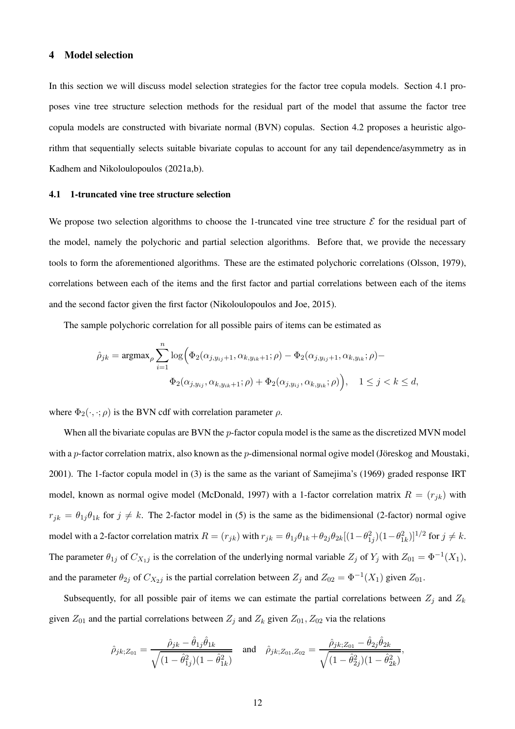## <span id="page-11-0"></span>4 Model selection

In this section we will discuss model selection strategies for the factor tree copula models. Section [4.1](#page-11-1) proposes vine tree structure selection methods for the residual part of the model that assume the factor tree copula models are constructed with bivariate normal (BVN) copulas. Section [4.2](#page-12-0) proposes a heuristic algorithm that sequentially selects suitable bivariate copulas to account for any tail dependence/asymmetry as in [Kadhem and Nikoloulopoulos \(2021a](#page-24-11)[,b](#page-24-8)).

#### <span id="page-11-1"></span>4.1 1-truncated vine tree structure selection

We propose two selection algorithms to choose the 1-truncated vine tree structure  $\mathcal E$  for the residual part of the model, namely the polychoric and partial selection algorithms. Before that, we provide the necessary tools to form the aforementioned algorithms. These are the estimated polychoric correlations [\(Olsson](#page-25-9), [1979](#page-25-9)), correlations between each of the items and the first factor and partial correlations between each of the items and the second factor given the first factor [\(Nikoloulopoulos and Joe](#page-25-3), [2015](#page-25-3)).

The sample polychoric correlation for all possible pairs of items can be estimated as

$$
\hat{\rho}_{jk} = \operatorname{argmax}_{\rho} \sum_{i=1}^{n} \log \Big( \Phi_2(\alpha_{j,y_{ij}+1}, \alpha_{k,y_{ik}+1}; \rho) - \Phi_2(\alpha_{j,y_{ij}+1}, \alpha_{k,y_{ik}}; \rho) -
$$

$$
\Phi_2(\alpha_{j,y_{ij}}, \alpha_{k,y_{ik}+1}; \rho) + \Phi_2(\alpha_{j,y_{ij}}, \alpha_{k,y_{ik}}; \rho) \Big), \quad 1 \le j < k \le d,
$$

where  $\Phi_2(\cdot, \cdot; \rho)$  is the BVN cdf with correlation parameter  $\rho$ .

When all the bivariate copulas are BVN the  $p$ -factor copula model is the same as the discretized MVN model with a p-factor correlation matrix, also known as the p-dimensional normal ogive model (Jöreskog and Moustaki, [2001](#page-24-12)). The 1-factor copula model in (3) is the same as the variant of Samejima's (1969) graded response IRT model, known as normal ogive model [\(McDonald](#page-24-13), [1997](#page-24-13)) with a 1-factor correlation matrix  $R = (r_{jk})$  with  $r_{jk} = \theta_{1j}\theta_{1k}$  for  $j \neq k$ . The 2-factor model in (5) is the same as the bidimensional (2-factor) normal ogive model with a 2-factor correlation matrix  $R = (r_{jk})$  with  $r_{jk} = \theta_{1j}\theta_{1k} + \theta_{2j}\theta_{2k}[(1-\theta_{1j}^2)(1-\theta_{1k}^2)]^{1/2}$  for  $j \neq k$ . The parameter  $\theta_{1j}$  of  $C_{X_1j}$  is the correlation of the underlying normal variable  $Z_j$  of  $Y_j$  with  $Z_{01} = \Phi^{-1}(X_1)$ , and the parameter  $\theta_{2j}$  of  $C_{X_2j}$  is the partial correlation between  $Z_j$  and  $Z_{02} = \Phi^{-1}(X_1)$  given  $Z_{01}$ .

Subsequently, for all possible pair of items we can estimate the partial correlations between  $Z_j$  and  $Z_k$ given  $Z_{01}$  and the partial correlations between  $Z_i$  and  $Z_k$  given  $Z_{01}$ ,  $Z_{02}$  via the relations

$$
\hat{\rho}_{jk;Z_{01}} = \frac{\hat{\rho}_{jk} - \hat{\theta}_{1j}\hat{\theta}_{1k}}{\sqrt{(1-\hat{\theta}_{1j}^2)(1-\hat{\theta}_{1k}^2)}} \quad \text{and} \quad \hat{\rho}_{jk;Z_{01},Z_{02}} = \frac{\hat{\rho}_{jk;Z_{01}} - \hat{\theta}_{2j}\hat{\theta}_{2k}}{\sqrt{(1-\hat{\theta}_{2j}^2)(1-\hat{\theta}_{2k}^2)}},
$$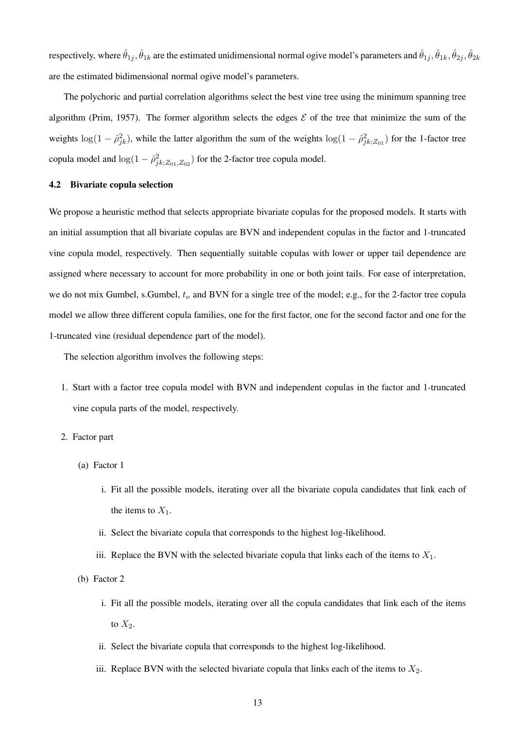respectively, where  $\hat\theta_{1j},\hat\theta_{1k}$  are the estimated unidimensional normal ogive model's parameters and  $\hat\theta_{1j},\hat\theta_{1k},\hat\theta_{2j},\hat\theta_{2k}$ are the estimated bidimensional normal ogive model's parameters.

The polychoric and partial correlation algorithms select the best vine tree using the minimum spanning tree algorithm [\(Prim, 1957](#page-25-10)). The former algorithm selects the edges  $\mathcal E$  of the tree that minimize the sum of the weights  $\log(1-\hat{\rho}_{jk}^2)$ , while the latter algorithm the sum of the weights  $\log(1-\hat{\rho}_{jk;Z_{01}}^2)$  for the 1-factor tree copula model and  $\log(1 - \hat{\rho}_{jk;Z_{01},Z_{02}}^2)$  for the 2-factor tree copula model.

## <span id="page-12-0"></span>4.2 Bivariate copula selection

We propose a heuristic method that selects appropriate bivariate copulas for the proposed models. It starts with an initial assumption that all bivariate copulas are BVN and independent copulas in the factor and 1-truncated vine copula model, respectively. Then sequentially suitable copulas with lower or upper tail dependence are assigned where necessary to account for more probability in one or both joint tails. For ease of interpretation, we do not mix Gumbel, s.Gumbel,  $t_{\nu}$  and BVN for a single tree of the model; e.g., for the 2-factor tree copula model we allow three different copula families, one for the first factor, one for the second factor and one for the 1-truncated vine (residual dependence part of the model).

The selection algorithm involves the following steps:

- 1. Start with a factor tree copula model with BVN and independent copulas in the factor and 1-truncated vine copula parts of the model, respectively.
- 2. Factor part
	- (a) Factor 1
		- i. Fit all the possible models, iterating over all the bivariate copula candidates that link each of the items to  $X_1$ .
		- ii. Select the bivariate copula that corresponds to the highest log-likelihood.
		- iii. Replace the BVN with the selected bivariate copula that links each of the items to  $X_1$ .
	- (b) Factor 2
		- i. Fit all the possible models, iterating over all the copula candidates that link each of the items to  $X_2$ .
		- ii. Select the bivariate copula that corresponds to the highest log-likelihood.
		- iii. Replace BVN with the selected bivariate copula that links each of the items to  $X_2$ .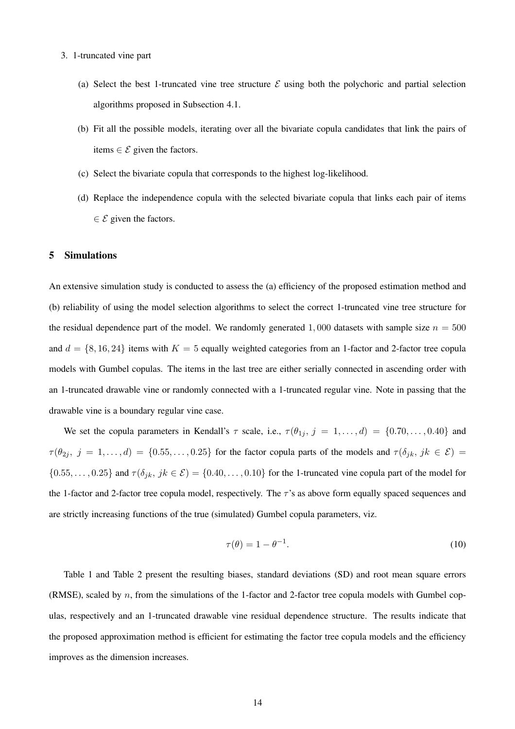- 3. 1-truncated vine part
	- (a) Select the best 1-truncated vine tree structure  $\mathcal E$  using both the polychoric and partial selection algorithms proposed in Subsection [4.1.](#page-11-1)
	- (b) Fit all the possible models, iterating over all the bivariate copula candidates that link the pairs of items  $\in \mathcal{E}$  given the factors.
	- (c) Select the bivariate copula that corresponds to the highest log-likelihood.
	- (d) Replace the independence copula with the selected bivariate copula that links each pair of items  $\in \mathcal{E}$  given the factors.

## <span id="page-13-0"></span>5 Simulations

An extensive simulation study is conducted to assess the (a) efficiency of the proposed estimation method and (b) reliability of using the model selection algorithms to select the correct 1-truncated vine tree structure for the residual dependence part of the model. We randomly generated 1,000 datasets with sample size  $n = 500$ and  $d = \{8, 16, 24\}$  items with  $K = 5$  equally weighted categories from an 1-factor and 2-factor tree copula models with Gumbel copulas. The items in the last tree are either serially connected in ascending order with an 1-truncated drawable vine or randomly connected with a 1-truncated regular vine. Note in passing that the drawable vine is a boundary regular vine case.

We set the copula parameters in Kendall's  $\tau$  scale, i.e.,  $\tau(\theta_{1j}, j = 1, \ldots, d) = \{0.70, \ldots, 0.40\}$  and  $\tau(\theta_{2j}, j = 1, \ldots, d) = \{0.55, \ldots, 0.25\}$  for the factor copula parts of the models and  $\tau(\delta_{jk}, jk \in \mathcal{E}) =$  $\{0.55,\ldots,0.25\}$  and  $\tau(\delta_{jk}, jk \in \mathcal{E}) = \{0.40,\ldots,0.10\}$  for the 1-truncated vine copula part of the model for the 1-factor and 2-factor tree copula model, respectively. The  $\tau$ 's as above form equally spaced sequences and are strictly increasing functions of the true (simulated) Gumbel copula parameters, viz.

<span id="page-13-1"></span>
$$
\tau(\theta) = 1 - \theta^{-1}.\tag{10}
$$

Table [1](#page-14-0) and Table [2](#page-15-0) present the resulting biases, standard deviations (SD) and root mean square errors (RMSE), scaled by n, from the simulations of the 1-factor and 2-factor tree copula models with Gumbel copulas, respectively and an 1-truncated drawable vine residual dependence structure. The results indicate that the proposed approximation method is efficient for estimating the factor tree copula models and the efficiency improves as the dimension increases.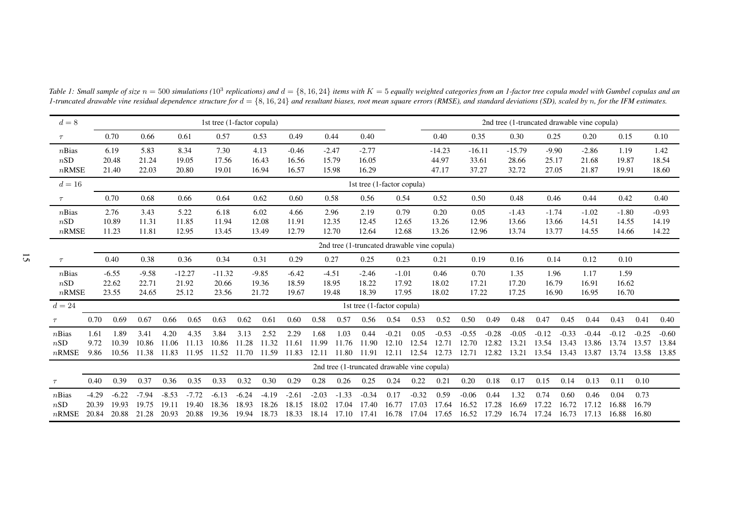| $d=8$                    |                                             | 1st tree (1-factor copula) |                           |                           |                            |                            |                           |                           |                           |                           |                           |                                             |                           |                           |                            |                            |                           | 2nd tree (1-truncated drawable vine copula) |                           |                           |                           |                           |                           |                           |
|--------------------------|---------------------------------------------|----------------------------|---------------------------|---------------------------|----------------------------|----------------------------|---------------------------|---------------------------|---------------------------|---------------------------|---------------------------|---------------------------------------------|---------------------------|---------------------------|----------------------------|----------------------------|---------------------------|---------------------------------------------|---------------------------|---------------------------|---------------------------|---------------------------|---------------------------|---------------------------|
| $\tau$                   |                                             | 0.70                       | 0.66                      |                           | 0.61                       | 0.57                       |                           | 0.53                      | 0.49                      |                           | 0.44                      | 0.40                                        |                           |                           | 0.40                       | 0.35                       |                           | 0.30                                        | 0.25                      |                           | 0.20                      | 0.15                      |                           | 0.10                      |
| nBias<br>nSD<br>$n$ RMSE |                                             | 6.19<br>20.48<br>21.40     | 5.83<br>21.24<br>22.03    |                           | 8.34<br>19.05<br>20.80     | 7.30<br>17.56<br>19.01     |                           | 4.13<br>16.43<br>16.94    | $-0.46$<br>16.56<br>16.57 | $-2.47$                   | 15.79<br>15.98            | $-2.77$<br>16.05<br>16.29                   |                           |                           | $-14.23$<br>44.97<br>47.17 | $-16.11$<br>33.61<br>37.27 |                           | $-15.79$<br>28.66<br>32.72                  | $-9.90$<br>25.17<br>27.05 |                           | $-2.86$<br>21.68<br>21.87 | 1.19<br>19.87<br>19.91    |                           | 1.42<br>18.54<br>18.60    |
| $d=16$                   |                                             |                            |                           |                           |                            |                            |                           |                           |                           |                           |                           | 1st tree (1-factor copula)                  |                           |                           |                            |                            |                           |                                             |                           |                           |                           |                           |                           |                           |
| $\tau$                   |                                             | 0.70                       | 0.68                      |                           | 0.66                       | 0.64                       |                           | 0.62                      | 0.60                      |                           | 0.58                      | 0.56                                        | 0.54                      |                           | 0.52                       | 0.50                       |                           | 0.48                                        | 0.46                      |                           | 0.44                      | 0.42                      |                           | 0.40                      |
| $n$ Bias<br>nSD<br>nRMSE |                                             | 2.76<br>10.89<br>11.23     | 3.43<br>11.31<br>11.81    |                           | 5.22<br>11.85<br>12.95     | 6.18<br>11.94<br>13.45     |                           | 6.02<br>12.08<br>13.49    | 4.66<br>11.91<br>12.79    |                           | 2.96<br>12.35<br>12.70    | 2.19<br>12.45<br>12.64                      | 0.79<br>12.65<br>12.68    |                           | 0.20<br>13.26<br>13.26     | 0.05<br>12.96<br>12.96     |                           | $-1.43$<br>13.66<br>13.74                   | $-1.74$<br>13.66<br>13.77 |                           | $-1.02$<br>14.51<br>14.55 | $-1.80$<br>14.55<br>14.66 |                           | $-0.93$<br>14.19<br>14.22 |
|                          | 2nd tree (1-truncated drawable vine copula) |                            |                           |                           |                            |                            |                           |                           |                           |                           |                           |                                             |                           |                           |                            |                            |                           |                                             |                           |                           |                           |                           |                           |                           |
| $\tau$                   |                                             | 0.40                       | 0.38                      |                           | 0.36                       | 0.34                       |                           | 0.31                      | 0.29                      |                           | 0.27                      | 0.25                                        | 0.23                      |                           | 0.21                       | 0.19                       |                           | 0.16                                        | 0.14                      |                           | 0.12                      | 0.10                      |                           |                           |
| nBias<br>nSD<br>$n$ RMSE |                                             | $-6.55$<br>22.62<br>23.55  | $-9.58$<br>22.71<br>24.65 |                           | $-12.27$<br>21.92<br>25.12 | $-11.32$<br>20.66<br>23.56 |                           | $-9.85$<br>19.36<br>21.72 | $-6.42$<br>18.59<br>19.67 | $-4.51$<br>18.95          | 19.48                     | $-2.46$<br>18.22<br>18.39                   | $-1.01$<br>17.92<br>17.95 |                           | 0.46<br>18.02<br>18.02     | 0.70<br>17.21<br>17.22     |                           | 1.35<br>17.20<br>17.25                      | 1.96<br>16.79<br>16.90    |                           | 1.17<br>16.91<br>16.95    | 1.59<br>16.62<br>16.70    |                           |                           |
| $d=24$                   |                                             |                            |                           |                           |                            |                            |                           |                           |                           |                           |                           | 1st tree (1-factor copula)                  |                           |                           |                            |                            |                           |                                             |                           |                           |                           |                           |                           |                           |
| $\tau$                   | 0.70                                        | 0.69                       | 0.67                      | 0.66                      | 0.65                       | 0.63                       | 0.62                      | 0.61                      | 0.60                      | 0.58                      | 0.57                      | 0.56                                        | 0.54                      | 0.53                      | 0.52                       | 0.50                       | 0.49                      | 0.48                                        | 0.47                      | 0.45                      | 0.44                      | 0.43                      | 0.41                      | 0.40                      |
| nBias<br>nSD<br>$n$ RMSE | 1.61<br>9.72<br>9.86                        | 1.89<br>10.39<br>10.56     | 3.41<br>10.86<br>11.38    | 4.20<br>11.06<br>11.83    | 4.35<br>11.13<br>11.95     | 3.84<br>10.86<br>11.52     | 3.13<br>11.28<br>11.70    | 2.52<br>11.32<br>11.59    | 2.29<br>11.61<br>11.83    | 1.68<br>11.99<br>12.11    | 1.03<br>11.76<br>11.80    | 0.44<br>11.90<br>11.91                      | $-0.21$<br>12.10<br>12.11 | 0.05<br>12.54<br>12.54    | $-0.53$<br>12.71<br>12.73  | $-0.55$<br>12.70<br>12.71  | $-0.28$<br>12.82<br>12.82 | $-0.05$<br>13.21<br>13.21                   | $-0.12$<br>13.54<br>13.54 | $-0.33$<br>13.43<br>13.43 | $-0.44$<br>13.86<br>13.87 | $-0.12$<br>13.74<br>13.74 | $-0.25$<br>13.57<br>13.58 | $-0.60$<br>13.84<br>13.85 |
|                          |                                             |                            |                           |                           |                            |                            |                           |                           |                           |                           |                           | 2nd tree (1-truncated drawable vine copula) |                           |                           |                            |                            |                           |                                             |                           |                           |                           |                           |                           |                           |
| $\tau$                   | 0.40                                        | 0.39                       | 0.37                      | 0.36                      | 0.35                       | 0.33                       | 0.32                      | 0.30                      | 0.29                      | 0.28                      | 0.26                      | 0.25                                        | 0.24                      | 0.22                      | 0.21                       | 0.20                       | 0.18                      | 0.17                                        | 0.15                      | 0.14                      | 0.13                      | 0.11                      | 0.10                      |                           |
| nBias<br>nSD<br>$n$ RMSE | $-4.29$<br>20.39<br>20.84                   | $-6.22$<br>19.93<br>20.88  | $-7.94$<br>19.75<br>21.28 | $-8.53$<br>19.11<br>20.93 | $-7.72$<br>19.40<br>20.88  | $-6.13$<br>18.36<br>19.36  | $-6.24$<br>18.93<br>19.94 | $-4.19$<br>18.26<br>18.73 | $-2.61$<br>18.15<br>18.33 | $-2.03$<br>18.02<br>18.14 | $-1.33$<br>17.04<br>17.10 | $-0.34$<br>17.40<br>17.41                   | 0.17<br>16.77<br>16.78    | $-0.32$<br>17.03<br>17.04 | 0.59<br>17.64<br>17.65     | $-0.06$<br>16.52<br>16.52  | 0.44<br>17.28<br>17.29    | 1.32<br>16.69<br>16.74                      | 0.74<br>17.22<br>17.24    | 0.60<br>16.72<br>16.73    | 0.46<br>17.12<br>17.13    | 0.04<br>16.88<br>16.88    | 0.73<br>16.79<br>16.80    |                           |

<span id="page-14-0"></span>Table 1: Small sample of size  $n = 500$  simulations (10<sup>3</sup> replications) and  $d = \{8, 16, 24\}$  items with  $K = 5$  equally weighted categories from an 1-factor tree copula model with Gumbel copulas and an<br>I two ated drawshla 1-truncated drawable vine residual dependence structure for  $d = \{8, 16, 24\}$  and resultant biases, root mean square errors (RMSE), and standard deviations (SD), scaled by n, for the IFM estimates.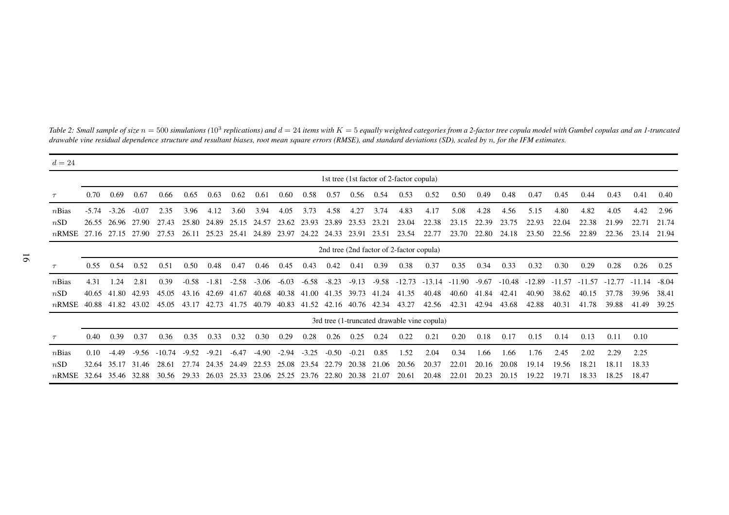| $d=24$   |                                             |         |           |          |         |         |           |         |         |         |         |           |         |          |          |           |         |          |          |          |          |          |          |         |
|----------|---------------------------------------------|---------|-----------|----------|---------|---------|-----------|---------|---------|---------|---------|-----------|---------|----------|----------|-----------|---------|----------|----------|----------|----------|----------|----------|---------|
|          | 1st tree (1st factor of 2-factor copula)    |         |           |          |         |         |           |         |         |         |         |           |         |          |          |           |         |          |          |          |          |          |          |         |
| $\tau$   | 0.70                                        | 0.69    | 0.67      | 0.66     | 0.65    | 0.63    | 0.62      | 0.61    | 0.60    | 0.58    | 0.57    | 0.56      | 0.54    | 0.53     | 0.52     | 0.50      | 0.49    | 0.48     | 0.47     | 0.45     | 0.44     | 0.43     | 0.41     | 0.40    |
| nBias    | $-5.74$                                     | $-3.26$ | $-0.07$   | 2.35     | 3.96    | 4.12    | 3.60      | 3.94    | 4.05    | 3.73    | 4.58    | 4.27      | 3.74    | 4.83     | 4.17     | 5.08      | 4.28    | 4.56     | 5.15     | 4.80     | 4.82     | 4.05     | 4.42     | 2.96    |
| nSD      | 26.55                                       | 26.96   | 27.90     | 27.43    | 25.80   | 24.89   | 25.15     | 24.57   | 23.62   | 23.93   | 23.89   | 23.53     | 23.21   | 23.04    | 22.38    | 23.1<br>5 | 22.39   | 23.75    | 22.93    | 22.04    | 22.38    | 21.99    | 22.7     | 21.74   |
| $n$ RMSE | 27.16                                       | 27.15   | 27.90     | 27.53    | 26.11   | 25.23   | 25.41     | 24.89   | 23.97   | 24.22   | 24.33   | 23.91     | 23.51   | 23.54    | 22.77    | 23.70     | 22.80   | 24.18    | 23.50    | 22.56    | 22.89    | 22.36    | 23.14    | 21.94   |
|          | 2nd tree (2nd factor of 2-factor copula)    |         |           |          |         |         |           |         |         |         |         |           |         |          |          |           |         |          |          |          |          |          |          |         |
| $\tau$   | 0.55                                        | 0.54    | 0.52      | 0.51     | 0.50    | 0.48    | 0.47      | 0.46    | 0.45    | 0.43    | 0.42    | 0.41      | 0.39    | 0.38     | 0.37     | 0.35      | 0.34    | 0.33     | 0.32     | 0.30     | 0.29     | 0.28     | 0.26     | 0.25    |
| nBias    | 4.31                                        | 1.24    | 2.81      | 0.39     | $-0.58$ | $-1.81$ | $-2.58$   | $-3.06$ | $-6.03$ | $-6.58$ | $-8.23$ | $-9.13$   | $-9.58$ | $-12.73$ | $-13.14$ | $-11.90$  | $-9.67$ | $-10.48$ | $-12.89$ | $-11.57$ | $-11.57$ | $-12.77$ | $-11.14$ | $-8.04$ |
| nSD      | 40.65                                       | 41.80   | 42.93     | 45.05    | 16      | 42.69   | .67<br>41 | 40.68   | 40.38   | 41.00   | 41.35   | 39.73     | 41.24   | 41.35    | 40.48    | 40.60     | 41.84   | 42.41    | 40.90    | 38.62    | 40.15    | 37.78    | 39.96    | 38.41   |
| $n$ RMSE | 40.88                                       | 41.82   | 43.02     | 45.05    | 43.17   | 42.73   | 41.75     | 40.79   | 40.83   | 41.52   | 42.16   | 40.76     | 42.34   | 43.27    | 42.56    | 42.31     | 42.94   | 43.68    | 42.88    | 40.31    | 41.78    | 39.88    | 41.49    | 39.25   |
|          | 3rd tree (1-truncated drawable vine copula) |         |           |          |         |         |           |         |         |         |         |           |         |          |          |           |         |          |          |          |          |          |          |         |
| $\tau$   | 0.40                                        | 0.39    | 0.37      | 0.36     | 0.35    | 0.33    | 0.32      | 0.30    | 0.29    | 0.28    | 0.26    | 0.25      | 0.24    | 0.22     | 0.21     | 0.20      | 0.18    | 0.17     | 0.15     | 0.14     | 0.13     | 0.11     | 0.10     |         |
| nBias    | 0.10                                        | $-4.49$ | $-9.56$   | $-10.74$ | $-9.52$ | $-9.21$ | $-6.47$   | $-4.90$ | $-2.94$ | $-3.25$ | $-0.50$ | $-0.21$   | 0.85    | 1.52     | 2.04     | 0.34      | l.66    | 1.66     | 1.76     | 2.45     | 2.02     | 2.29     | 2.25     |         |
| nSD      | 32.64                                       | 35.     | 31<br>.46 | 28.61    | 74      | 24.35   | 24.49     | 22.53   | 25.08   | 23.54   | 22.79   | 20<br>.38 | 21.06   | 20.56    | 20.37    | 22.01     | 20.16   | 20.08    | 19.14    | 19.56    | 18.21    | 18.1     | 18.33    |         |
| $n$ RMSE | 32.64                                       | 35.46   | 32.88     | 30.56    | 29.33   | 26.03   | 25.33     | 23.06   | 25.25   | 23.76   | 22.80   | 20.38     | 21.07   | 20.61    | 20.48    | 22.01     | 20.23   | 20.15    | 19.22    | 19.71    | 18.33    | 18.25    | 18.47    |         |

<span id="page-15-0"></span>Table 2: Small sample of size n = 500 simulations (10<sup>3</sup> replications) and d = 24 items with K = 5 equally weighted categories from a 2-factor tree copula model with Gumbel copulas and an 1-truncated<br>drawable vine residual

16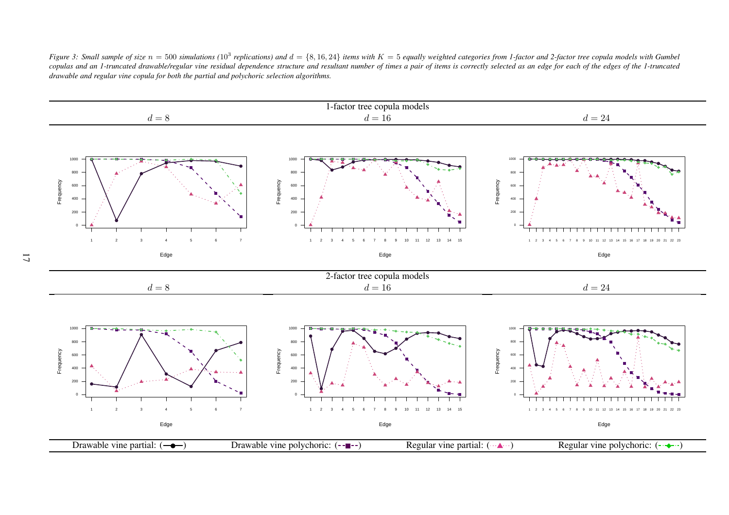Figure 3: Small sample of size  $n = 500$  simulations (10<sup>3</sup> replications) and  $d = \{8, 16, 24\}$  items with  $K = 5$  equally weighted categories from 1-factor and 2-factor tree copula models with Gumbel copulas and an 1-truncated drawable/regular vine residual dependence structure and resultant number of times a pair of items is correctly selected as an edge for each of the edges of the 1-truncated drawable and regular vine copula for both the partial and polychoric selection algorithms.

<span id="page-16-0"></span>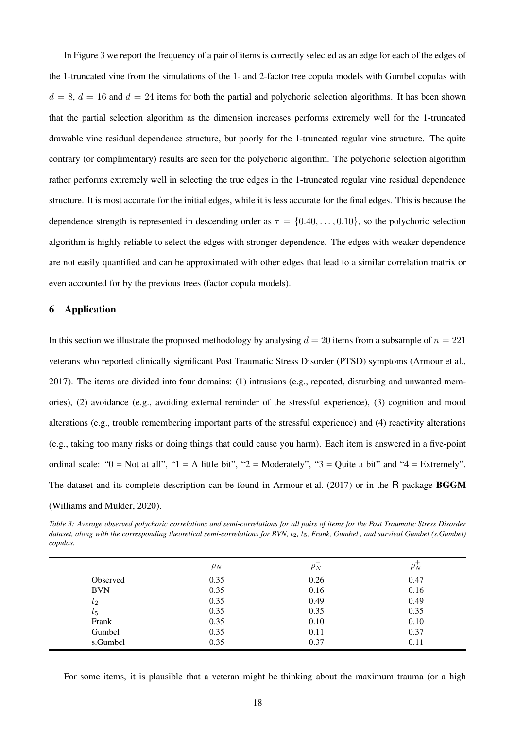In Figure [3](#page-16-0) we report the frequency of a pair of items is correctly selected as an edge for each of the edges of the 1-truncated vine from the simulations of the 1- and 2-factor tree copula models with Gumbel copulas with  $d = 8$ ,  $d = 16$  and  $d = 24$  items for both the partial and polychoric selection algorithms. It has been shown that the partial selection algorithm as the dimension increases performs extremely well for the 1-truncated drawable vine residual dependence structure, but poorly for the 1-truncated regular vine structure. The quite contrary (or complimentary) results are seen for the polychoric algorithm. The polychoric selection algorithm rather performs extremely well in selecting the true edges in the 1-truncated regular vine residual dependence structure. It is most accurate for the initial edges, while it is less accurate for the final edges. This is because the dependence strength is represented in descending order as  $\tau = \{0.40, \ldots, 0.10\}$ , so the polychoric selection algorithm is highly reliable to select the edges with stronger dependence. The edges with weaker dependence are not easily quantified and can be approximated with other edges that lead to a similar correlation matrix or even accounted for by the previous trees (factor copula models).

# <span id="page-17-0"></span>6 Application

In this section we illustrate the proposed methodology by analysing  $d = 20$  items from a subsample of  $n = 221$ veterans who reported clinically significant Post Traumatic Stress Disorder (PTSD) symptoms [\(Armour et al.,](#page-23-12) [2017](#page-23-12)). The items are divided into four domains: (1) intrusions (e.g., repeated, disturbing and unwanted memories), (2) avoidance (e.g., avoiding external reminder of the stressful experience), (3) cognition and mood alterations (e.g., trouble remembering important parts of the stressful experience) and (4) reactivity alterations (e.g., taking too many risks or doing things that could cause you harm). Each item is answered in a five-point ordinal scale: " $0 = Not$  at all", " $1 = A$  little bit", " $2 = Moderned$ ", " $3 = Quite$  a bit" and " $4 = Extremely$ ". The dataset and its complete description can be found in [Armour et al. \(2017](#page-23-12)) or in the R package BGGM [\(Williams and Mulder](#page-25-11), [2020](#page-25-11)).

<span id="page-17-1"></span>*Table 3: Average observed polychoric correlations and semi-correlations for all pairs of items for the Post Traumatic Stress Disorder dataset, along with the corresponding theoretical semi-correlations for BVN, t<sub>2</sub>, t<sub>5</sub>, Frank, Gumbel, and survival Gumbel (s.Gumbel) copulas.*

|            | $\rho_N$ | $\rho_N^{}$ | $\mu_N$ |
|------------|----------|-------------|---------|
| Observed   | 0.35     | 0.26        | 0.47    |
| <b>BVN</b> | 0.35     | 0.16        | 0.16    |
| $t_2$      | 0.35     | 0.49        | 0.49    |
| $t_{5}$    | 0.35     | 0.35        | 0.35    |
| Frank      | 0.35     | 0.10        | 0.10    |
| Gumbel     | 0.35     | 0.11        | 0.37    |
| s.Gumbel   | 0.35     | 0.37        | 0.11    |

For some items, it is plausible that a veteran might be thinking about the maximum trauma (or a high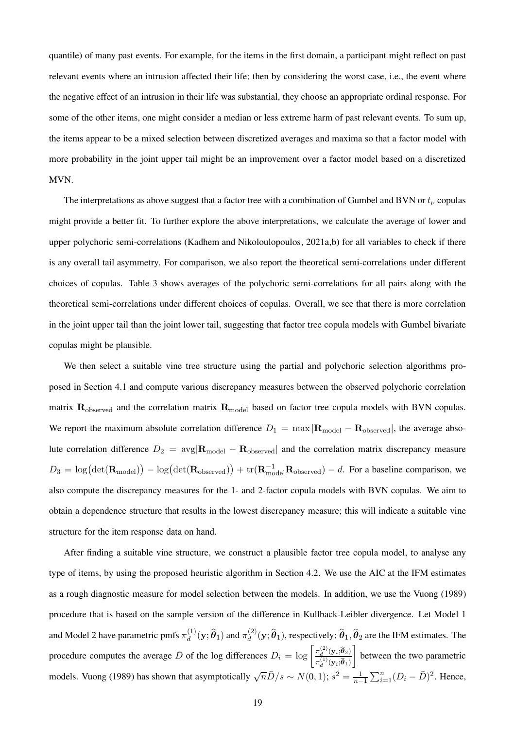quantile) of many past events. For example, for the items in the first domain, a participant might reflect on past relevant events where an intrusion affected their life; then by considering the worst case, i.e., the event where the negative effect of an intrusion in their life was substantial, they choose an appropriate ordinal response. For some of the other items, one might consider a median or less extreme harm of past relevant events. To sum up, the items appear to be a mixed selection between discretized averages and maxima so that a factor model with more probability in the joint upper tail might be an improvement over a factor model based on a discretized MVN.

The interpretations as above suggest that a factor tree with a combination of Gumbel and BVN or  $t_{\nu}$  copulas might provide a better fit. To further explore the above interpretations, we calculate the average of lower and upper polychoric semi-correlations [\(Kadhem and Nikoloulopoulos](#page-24-11), [2021a](#page-24-11)[,b\)](#page-24-8) for all variables to check if there is any overall tail asymmetry. For comparison, we also report the theoretical semi-correlations under different choices of copulas. Table [3](#page-17-1) shows averages of the polychoric semi-correlations for all pairs along with the theoretical semi-correlations under different choices of copulas. Overall, we see that there is more correlation in the joint upper tail than the joint lower tail, suggesting that factor tree copula models with Gumbel bivariate copulas might be plausible.

We then select a suitable vine tree structure using the partial and polychoric selection algorithms proposed in Section [4.1](#page-11-1) and compute various discrepancy measures between the observed polychoric correlation matrix  $\mathbf{R}_{observed}$  and the correlation matrix  $\mathbf{R}_{model}$  based on factor tree copula models with BVN copulas. We report the maximum absolute correlation difference  $D_1 = \max |\mathbf{R}_{\text{model}} - \mathbf{R}_{\text{observed}}|$ , the average absolute correlation difference  $D_2 = \text{avg}|\mathbf{R}_{\text{model}} - \mathbf{R}_{\text{observed}}|$  and the correlation matrix discrepancy measure  $D_3 = \log(\det(\mathbf{R}_{\text{model}})) - \log(\det(\mathbf{R}_{\text{observed}})) + \text{tr}(\mathbf{R}_{\text{model}}^{-1}\mathbf{R}_{\text{observed}}) - d$ . For a baseline comparison, we also compute the discrepancy measures for the 1- and 2-factor copula models with BVN copulas. We aim to obtain a dependence structure that results in the lowest discrepancy measure; this will indicate a suitable vine structure for the item response data on hand.

After finding a suitable vine structure, we construct a plausible factor tree copula model, to analyse any type of items, by using the proposed heuristic algorithm in Section [4.2.](#page-12-0) We use the AIC at the IFM estimates as a rough diagnostic measure for model selection between the models. In addition, we use the [Vuong \(1989\)](#page-25-12) procedure that is based on the sample version of the difference in Kullback-Leibler divergence. Let Model 1 and Model 2 have parametric pmfs  $\pi_d^{(1)}$  $\overset{(1)}{d}(\mathbf{y};\widehat{\boldsymbol{\theta}}_{1})$  and  $\pi_{d}^{(2)}$  $\hat{\bm{\theta}}_d^{(2)}(\textbf{y};\widehat{\bm{\theta}}_1)$ , respectively;  $\widehat{\bm{\theta}}_1, \widehat{\bm{\theta}}_2$  are the IFM estimates. The procedure computes the average  $\bar{D}$  of the log differences  $D_i = \log \left[ \frac{\pi_d^{(2)}(\mathbf{y}_i;\hat{\theta}_2)}{\pi_d^{(1)}(\mathbf{y}_i;\hat{\theta}_1)} \right]$  $\pi_d^{(1)}(\mathbf{y}_i;\widehat{\boldsymbol{\theta}}_1)$  $\overline{1}$ between the two parametric models. [Vuong](#page-25-12) [\(1989](#page-25-12)) has shown that asymptotically  $\sqrt{n}\bar{D}/s \sim N(0, 1)$ ;  $s^2 = \frac{1}{n-1}$  $\sum_{i=1}^{n} (D_i - \bar{D})^2$ . Hence,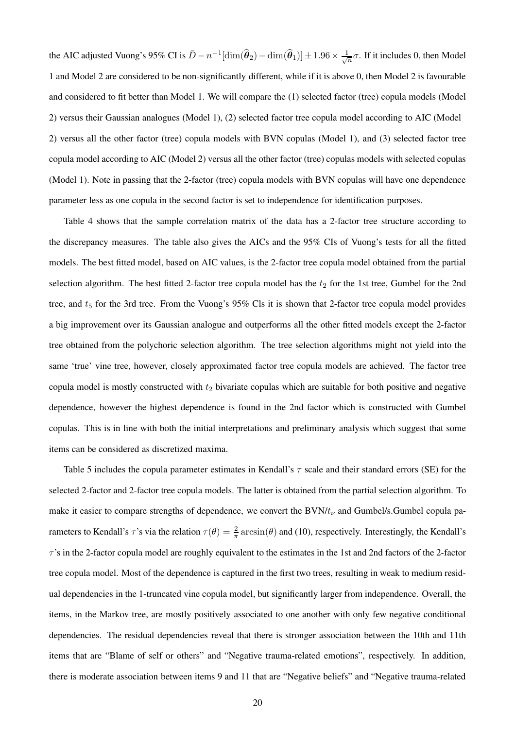the AIC adjusted Vuong's 95% CI is  $\bar{D}-n^{-1}[\dim(\widehat{\bm{\theta}}_2)-\dim(\widehat{\bm{\theta}}_1)]\pm 1.96\times\frac{1}{\sqrt{2}}$  $\frac{1}{n}\sigma$ . If it includes 0, then Model 1 and Model 2 are considered to be non-significantly different, while if it is above 0, then Model 2 is favourable and considered to fit better than Model 1. We will compare the (1) selected factor (tree) copula models (Model 2) versus their Gaussian analogues (Model 1), (2) selected factor tree copula model according to AIC (Model 2) versus all the other factor (tree) copula models with BVN copulas (Model 1), and (3) selected factor tree copula model according to AIC (Model 2) versus all the other factor (tree) copulas models with selected copulas (Model 1). Note in passing that the 2-factor (tree) copula models with BVN copulas will have one dependence parameter less as one copula in the second factor is set to independence for identification purposes.

Table [4](#page-20-0) shows that the sample correlation matrix of the data has a 2-factor tree structure according to the discrepancy measures. The table also gives the AICs and the 95% CIs of Vuong's tests for all the fitted models. The best fitted model, based on AIC values, is the 2-factor tree copula model obtained from the partial selection algorithm. The best fitted 2-factor tree copula model has the  $t_2$  for the 1st tree, Gumbel for the 2nd tree, and  $t_5$  for the 3rd tree. From the Vuong's 95% Cls it is shown that 2-factor tree copula model provides a big improvement over its Gaussian analogue and outperforms all the other fitted models except the 2-factor tree obtained from the polychoric selection algorithm. The tree selection algorithms might not yield into the same 'true' vine tree, however, closely approximated factor tree copula models are achieved. The factor tree copula model is mostly constructed with  $t_2$  bivariate copulas which are suitable for both positive and negative dependence, however the highest dependence is found in the 2nd factor which is constructed with Gumbel copulas. This is in line with both the initial interpretations and preliminary analysis which suggest that some items can be considered as discretized maxima.

Table [5](#page-21-1) includes the copula parameter estimates in Kendall's  $\tau$  scale and their standard errors (SE) for the selected 2-factor and 2-factor tree copula models. The latter is obtained from the partial selection algorithm. To make it easier to compare strengths of dependence, we convert the  $BVM/t_{\nu}$  and Gumbel/s.Gumbel copula parameters to Kendall's  $\tau$ 's via the relation  $\tau(\theta) = \frac{2}{\pi} \arcsin(\theta)$  and [\(10\)](#page-13-1), respectively. Interestingly, the Kendall's  $\tau$ 's in the 2-factor copula model are roughly equivalent to the estimates in the 1st and 2nd factors of the 2-factor tree copula model. Most of the dependence is captured in the first two trees, resulting in weak to medium residual dependencies in the 1-truncated vine copula model, but significantly larger from independence. Overall, the items, in the Markov tree, are mostly positively associated to one another with only few negative conditional dependencies. The residual dependencies reveal that there is stronger association between the 10th and 11th items that are "Blame of self or others" and "Negative trauma-related emotions", respectively. In addition, there is moderate association between items 9 and 11 that are "Negative beliefs" and "Negative trauma-related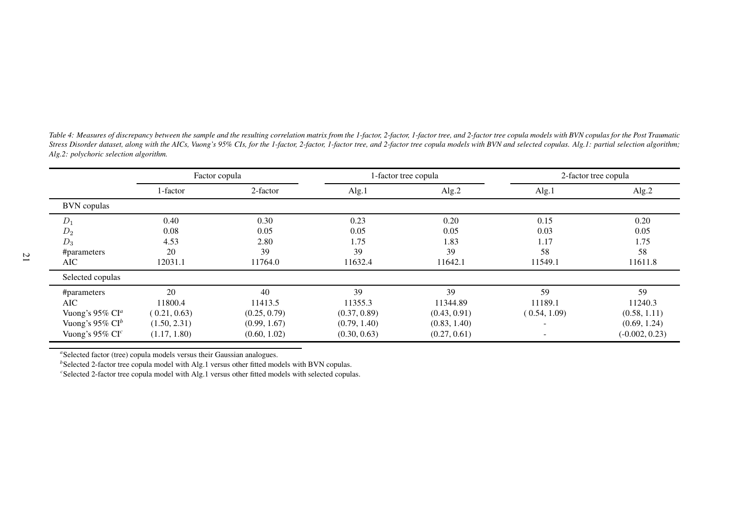<span id="page-20-0"></span>

| Table 4: Measures of discrepancy between the sample and the resulting correlation matrix from the 1-factor, 2-factor, 1-factor tree, and 2-factor tree copula models with BVN copulas for the Post Traumatic |
|--------------------------------------------------------------------------------------------------------------------------------------------------------------------------------------------------------------|
| Stress Disorder dataset, along with the AICs, Vuong's 95% CIs, for the 1-factor, 2-factor, 1-factor tree, and 2-factor tree copula models with BVN and selected copulas. Alg.1: partial selection algorithm; |
| Alg.2: polychoric selection algorithm.                                                                                                                                                                       |

|                             | Factor copula |              |              | -factor tree copula | 2-factor tree copula     |                  |  |  |
|-----------------------------|---------------|--------------|--------------|---------------------|--------------------------|------------------|--|--|
|                             | 1-factor      | 2-factor     | Alg.1        | Alg.2               | Alg.1                    | Alg.2            |  |  |
| <b>BVN</b> copulas          |               |              |              |                     |                          |                  |  |  |
| $D_1$                       | 0.40          | 0.30         | 0.23         | 0.20                | 0.15                     | 0.20             |  |  |
| $D_2$                       | 0.08          | 0.05         | 0.05         | 0.05                | 0.03                     | 0.05             |  |  |
| $D_3$                       | 4.53          | 2.80         | 1.75         | 1.83                | 1.17                     | 1.75             |  |  |
| #parameters                 | 20            | 39           | 39           | 39                  | 58                       | 58               |  |  |
| AIC                         | 12031.1       | 11764.0      | 11632.4      | 11642.1             | 11549.1                  | 11611.8          |  |  |
| Selected copulas            |               |              |              |                     |                          |                  |  |  |
| #parameters                 | 20            | 40           | 39           | 39                  | 59                       | 59               |  |  |
| <b>AIC</b>                  | 11800.4       | 11413.5      | 11355.3      | 11344.89            | 11189.1                  | 11240.3          |  |  |
| Vuong's 95% $CIa$           | (0.21, 0.63)  | (0.25, 0.79) | (0.37, 0.89) | (0.43, 0.91)        | (0.54, 1.09)             | (0.58, 1.11)     |  |  |
| Vuong's 95% $Cl^b$          | (1.50, 2.31)  | (0.99, 1.67) | (0.79, 1.40) | (0.83, 1.40)        | $\overline{\phantom{a}}$ | (0.69, 1.24)     |  |  |
| Vuong's 95% CI <sup>c</sup> | (1.17, 1.80)  | (0.60, 1.02) | (0.30, 0.63) | (0.27, 0.61)        | $\overline{\phantom{a}}$ | $(-0.002, 0.23)$ |  |  |

<sup>a</sup>Selected factor (tree) copula models versus their Gaussian analogues.

<sup>*b*</sup>Selected 2-factor tree copula model with Alg.1 versus other fitted models with BVN copulas.

*<sup>c</sup>*Selected 2-factor tree copula model with Alg.1 versus other fitted models with selected copulas.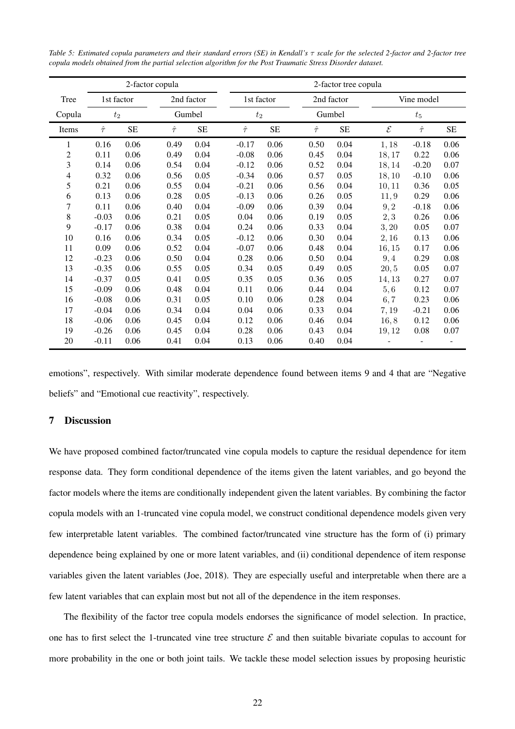<span id="page-21-1"></span>*Table 5: Estimated copula parameters and their standard errors (SE) in Kendall's* τ *scale for the selected 2-factor and 2-factor tree copula models obtained from the partial selection algorithm for the Post Traumatic Stress Disorder dataset.*

|                |                     |           | 2-factor copula      |           |              | 2-factor tree copula |              |            |              |              |           |  |  |  |  |
|----------------|---------------------|-----------|----------------------|-----------|--------------|----------------------|--------------|------------|--------------|--------------|-----------|--|--|--|--|
| Tree           | 1st factor<br>$t_2$ |           | 2nd factor<br>Gumbel |           | 1st factor   |                      |              | 2nd factor |              | Vine model   |           |  |  |  |  |
| Copula         |                     |           |                      |           | $t_2$        |                      |              | Gumbel     |              | $t_5$        |           |  |  |  |  |
| Items          | $\hat{\tau}$        | <b>SE</b> | $\hat{\tau}$         | <b>SE</b> | $\hat{\tau}$ | <b>SE</b>            | $\hat{\tau}$ | <b>SE</b>  | $\mathcal E$ | $\hat{\tau}$ | <b>SE</b> |  |  |  |  |
| 1              | 0.16                | 0.06      | 0.49                 | 0.04      | $-0.17$      | 0.06                 | 0.50         | 0.04       | 1,18         | $-0.18$      | 0.06      |  |  |  |  |
| $\mathfrak{2}$ | 0.11                | 0.06      | 0.49                 | 0.04      | $-0.08$      | 0.06                 | 0.45         | 0.04       | 18,17        | 0.22         | 0.06      |  |  |  |  |
| 3              | 0.14                | 0.06      | 0.54                 | 0.04      | $-0.12$      | 0.06                 | 0.52         | 0.04       | 18,14        | $-0.20$      | 0.07      |  |  |  |  |
| $\overline{4}$ | 0.32                | 0.06      | 0.56                 | 0.05      | $-0.34$      | 0.06                 | 0.57         | 0.05       | 18,10        | $-0.10$      | 0.06      |  |  |  |  |
| 5              | 0.21                | 0.06      | 0.55                 | 0.04      | $-0.21$      | 0.06                 | 0.56         | 0.04       | 10, 11       | 0.36         | 0.05      |  |  |  |  |
| 6              | 0.13                | 0.06      | 0.28                 | 0.05      | $-0.13$      | 0.06                 | 0.26         | 0.05       | 11,9         | 0.29         | 0.06      |  |  |  |  |
| 7              | 0.11                | 0.06      | 0.40                 | 0.04      | $-0.09$      | 0.06                 | 0.39         | 0.04       | 9, 2         | $-0.18$      | 0.06      |  |  |  |  |
| 8              | $-0.03$             | 0.06      | 0.21                 | 0.05      | 0.04         | 0.06                 | 0.19         | 0.05       | 2,3          | 0.26         | 0.06      |  |  |  |  |
| 9              | $-0.17$             | 0.06      | 0.38                 | 0.04      | 0.24         | 0.06                 | 0.33         | 0.04       | 3, 20        | 0.05         | 0.07      |  |  |  |  |
| 10             | 0.16                | 0.06      | 0.34                 | 0.05      | $-0.12$      | 0.06                 | 0.30         | 0.04       | 2,16         | 0.13         | 0.06      |  |  |  |  |
| 11             | 0.09                | 0.06      | 0.52                 | 0.04      | $-0.07$      | 0.06                 | 0.48         | 0.04       | 16,15        | 0.17         | 0.06      |  |  |  |  |
| 12             | $-0.23$             | 0.06      | 0.50                 | 0.04      | 0.28         | 0.06                 | 0.50         | 0.04       | 9,4          | 0.29         | 0.08      |  |  |  |  |
| 13             | $-0.35$             | 0.06      | 0.55                 | 0.05      | 0.34         | 0.05                 | 0.49         | 0.05       | 20, 5        | 0.05         | 0.07      |  |  |  |  |
| 14             | $-0.37$             | 0.05      | 0.41                 | 0.05      | 0.35         | 0.05                 | 0.36         | 0.05       | 14, 13       | 0.27         | 0.07      |  |  |  |  |
| 15             | $-0.09$             | 0.06      | 0.48                 | 0.04      | 0.11         | 0.06                 | 0.44         | 0.04       | 5,6          | 0.12         | 0.07      |  |  |  |  |
| 16             | $-0.08$             | 0.06      | 0.31                 | 0.05      | 0.10         | 0.06                 | 0.28         | 0.04       | 6, 7         | 0.23         | 0.06      |  |  |  |  |
| 17             | $-0.04$             | 0.06      | 0.34                 | 0.04      | 0.04         | 0.06                 | 0.33         | 0.04       | 7,19         | $-0.21$      | 0.06      |  |  |  |  |
| 18             | $-0.06$             | 0.06      | 0.45                 | 0.04      | 0.12         | 0.06                 | 0.46         | 0.04       | 16,8         | 0.12         | 0.06      |  |  |  |  |
| 19             | $-0.26$             | 0.06      | 0.45                 | 0.04      | 0.28         | 0.06                 | 0.43         | 0.04       | 19,12        | 0.08         | 0.07      |  |  |  |  |
| 20             | $-0.11$             | 0.06      | 0.41                 | 0.04      | 0.13         | 0.06                 | 0.40         | 0.04       |              |              |           |  |  |  |  |

emotions", respectively. With similar moderate dependence found between items 9 and 4 that are "Negative beliefs" and "Emotional cue reactivity", respectively.

## <span id="page-21-0"></span>7 Discussion

We have proposed combined factor/truncated vine copula models to capture the residual dependence for item response data. They form conditional dependence of the items given the latent variables, and go beyond the factor models where the items are conditionally independent given the latent variables. By combining the factor copula models with an 1-truncated vine copula model, we construct conditional dependence models given very few interpretable latent variables. The combined factor/truncated vine structure has the form of (i) primary dependence being explained by one or more latent variables, and (ii) conditional dependence of item response variables given the latent variables [\(Joe](#page-24-6), [2018](#page-24-6)). They are especially useful and interpretable when there are a few latent variables that can explain most but not all of the dependence in the item responses.

The flexibility of the factor tree copula models endorses the significance of model selection. In practice, one has to first select the 1-truncated vine tree structure  $\mathcal E$  and then suitable bivariate copulas to account for more probability in the one or both joint tails. We tackle these model selection issues by proposing heuristic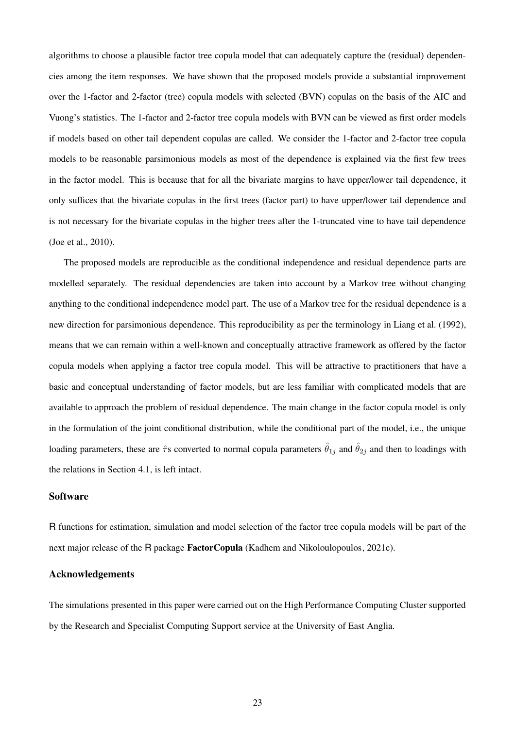algorithms to choose a plausible factor tree copula model that can adequately capture the (residual) dependencies among the item responses. We have shown that the proposed models provide a substantial improvement over the 1-factor and 2-factor (tree) copula models with selected (BVN) copulas on the basis of the AIC and Vuong's statistics. The 1-factor and 2-factor tree copula models with BVN can be viewed as first order models if models based on other tail dependent copulas are called. We consider the 1-factor and 2-factor tree copula models to be reasonable parsimonious models as most of the dependence is explained via the first few trees in the factor model. This is because that for all the bivariate margins to have upper/lower tail dependence, it only suffices that the bivariate copulas in the first trees (factor part) to have upper/lower tail dependence and is not necessary for the bivariate copulas in the higher trees after the 1-truncated vine to have tail dependence [\(Joe et al., 2010](#page-24-4)).

The proposed models are reproducible as the conditional independence and residual dependence parts are modelled separately. The residual dependencies are taken into account by a Markov tree without changing anything to the conditional independence model part. The use of a Markov tree for the residual dependence is a new direction for parsimonious dependence. This reproducibility as per the terminology in [Liang et al. \(1992](#page-24-14)), means that we can remain within a well-known and conceptually attractive framework as offered by the factor copula models when applying a factor tree copula model. This will be attractive to practitioners that have a basic and conceptual understanding of factor models, but are less familiar with complicated models that are available to approach the problem of residual dependence. The main change in the factor copula model is only in the formulation of the joint conditional distribution, while the conditional part of the model, i.e., the unique loading parameters, these are  $\hat{\tau}$ s converted to normal copula parameters  $\hat{\theta}_{1j}$  and  $\hat{\theta}_{2j}$  and then to loadings with the relations in Section [4.1,](#page-11-1) is left intact.

## Software

R functions for estimation, simulation and model selection of the factor tree copula models will be part of the next major release of the R package FactorCopula [\(Kadhem and Nikoloulopoulos](#page-24-15), [2021c](#page-24-15)).

# Acknowledgements

The simulations presented in this paper were carried out on the High Performance Computing Cluster supported by the Research and Specialist Computing Support service at the University of East Anglia.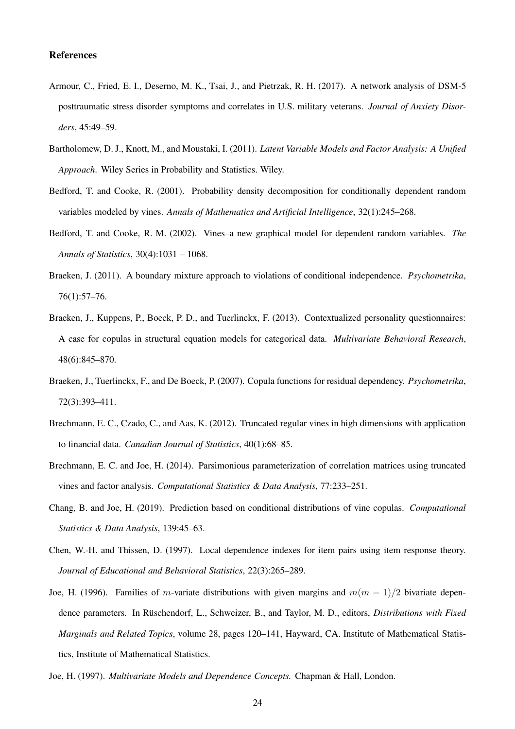## References

- <span id="page-23-12"></span>Armour, C., Fried, E. I., Deserno, M. K., Tsai, J., and Pietrzak, R. H. (2017). A network analysis of DSM-5 posttraumatic stress disorder symptoms and correlates in U.S. military veterans. *Journal of Anxiety Disorders*, 45:49–59.
- <span id="page-23-0"></span>Bartholomew, D. J., Knott, M., and Moustaki, I. (2011). *Latent Variable Models and Factor Analysis: A Unified Approach*. Wiley Series in Probability and Statistics. Wiley.
- <span id="page-23-7"></span>Bedford, T. and Cooke, R. (2001). Probability density decomposition for conditionally dependent random variables modeled by vines. *Annals of Mathematics and Artificial Intelligence*, 32(1):245–268.
- <span id="page-23-8"></span>Bedford, T. and Cooke, R. M. (2002). Vines–a new graphical model for dependent random variables. *The Annals of Statistics*, 30(4):1031 – 1068.
- <span id="page-23-4"></span>Braeken, J. (2011). A boundary mixture approach to violations of conditional independence. *Psychometrika*, 76(1):57–76.
- <span id="page-23-3"></span>Braeken, J., Kuppens, P., Boeck, P. D., and Tuerlinckx, F. (2013). Contextualized personality questionnaires: A case for copulas in structural equation models for categorical data. *Multivariate Behavioral Research*, 48(6):845–870.
- <span id="page-23-1"></span>Braeken, J., Tuerlinckx, F., and De Boeck, P. (2007). Copula functions for residual dependency. *Psychometrika*, 72(3):393–411.
- <span id="page-23-5"></span>Brechmann, E. C., Czado, C., and Aas, K. (2012). Truncated regular vines in high dimensions with application to financial data. *Canadian Journal of Statistics*, 40(1):68–85.
- <span id="page-23-9"></span>Brechmann, E. C. and Joe, H. (2014). Parsimonious parameterization of correlation matrices using truncated vines and factor analysis. *Computational Statistics & Data Analysis*, 77:233–251.
- <span id="page-23-10"></span>Chang, B. and Joe, H. (2019). Prediction based on conditional distributions of vine copulas. *Computational Statistics & Data Analysis*, 139:45–63.
- <span id="page-23-2"></span>Chen, W.-H. and Thissen, D. (1997). Local dependence indexes for item pairs using item response theory. *Journal of Educational and Behavioral Statistics*, 22(3):265–289.
- <span id="page-23-6"></span>Joe, H. (1996). Families of m-variate distributions with given margins and  $m(m - 1)/2$  bivariate dependence parameters. In Rüschendorf, L., Schweizer, B., and Taylor, M. D., editors, *Distributions with Fixed Marginals and Related Topics*, volume 28, pages 120–141, Hayward, CA. Institute of Mathematical Statistics, Institute of Mathematical Statistics.
- <span id="page-23-11"></span>Joe, H. (1997). *Multivariate Models and Dependence Concepts.* Chapman & Hall, London.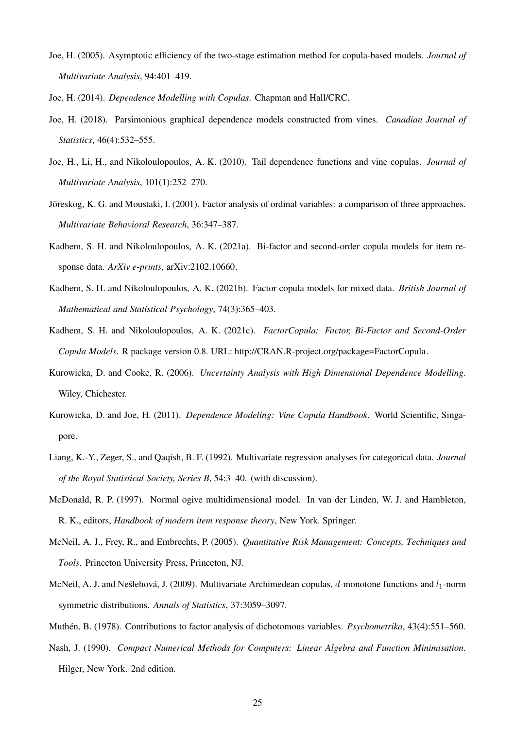- <span id="page-24-9"></span>Joe, H. (2005). Asymptotic efficiency of the two-stage estimation method for copula-based models. *Journal of Multivariate Analysis*, 94:401–419.
- <span id="page-24-6"></span><span id="page-24-3"></span>Joe, H. (2014). *Dependence Modelling with Copulas*. Chapman and Hall/CRC.
- Joe, H. (2018). Parsimonious graphical dependence models constructed from vines. *Canadian Journal of Statistics*, 46(4):532–555.
- <span id="page-24-4"></span>Joe, H., Li, H., and Nikoloulopoulos, A. K. (2010). Tail dependence functions and vine copulas. *Journal of Multivariate Analysis*, 101(1):252–270.
- <span id="page-24-12"></span>Jöreskog, K. G. and Moustaki, I. (2001). Factor analysis of ordinal variables: a comparison of three approaches. *Multivariate Behavioral Research*, 36:347–387.
- <span id="page-24-11"></span>Kadhem, S. H. and Nikoloulopoulos, A. K. (2021a). Bi-factor and second-order copula models for item response data. *ArXiv e-prints*, [arXiv:2102.10660.](http://arxiv.org/abs/2102.10660)
- <span id="page-24-8"></span>Kadhem, S. H. and Nikoloulopoulos, A. K. (2021b). Factor copula models for mixed data. *British Journal of Mathematical and Statistical Psychology*, 74(3):365–403.
- <span id="page-24-15"></span>Kadhem, S. H. and Nikoloulopoulos, A. K. (2021c). *FactorCopula: Factor, Bi-Factor and Second-Order Copula Models*. R package version 0.8. URL: [http://CRAN.R-project.org/package=FactorCopula.](http://CRAN.R-project.org/package=FactorCopula)
- <span id="page-24-1"></span>Kurowicka, D. and Cooke, R. (2006). *Uncertainty Analysis with High Dimensional Dependence Modelling*. Wiley, Chichester.
- <span id="page-24-2"></span>Kurowicka, D. and Joe, H. (2011). *Dependence Modeling: Vine Copula Handbook*. World Scientific, Singapore.
- <span id="page-24-14"></span>Liang, K.-Y., Zeger, S., and Qaqish, B. F. (1992). Multivariate regression analyses for categorical data. *Journal of the Royal Statistical Society, Series B*, 54:3–40. (with discussion).
- <span id="page-24-13"></span>McDonald, R. P. (1997). Normal ogive multidimensional model. In van der Linden, W. J. and Hambleton, R. K., editors, *Handbook of modern item response theory*, New York. Springer.
- <span id="page-24-7"></span>McNeil, A. J., Frey, R., and Embrechts, P. (2005). *Quantitative Risk Management: Concepts, Techniques and Tools*. Princeton University Press, Princeton, NJ.
- <span id="page-24-0"></span>McNeil, A. J. and Nešlehová, J. (2009). Multivariate Archimedean copulas, d-monotone functions and  $l_1$ -norm symmetric distributions. *Annals of Statistics*, 37:3059–3097.
- <span id="page-24-5"></span>Muth´en, B. (1978). Contributions to factor analysis of dichotomous variables. *Psychometrika*, 43(4):551–560.
- <span id="page-24-10"></span>Nash, J. (1990). *Compact Numerical Methods for Computers: Linear Algebra and Function Minimisation*. Hilger, New York. 2nd edition.